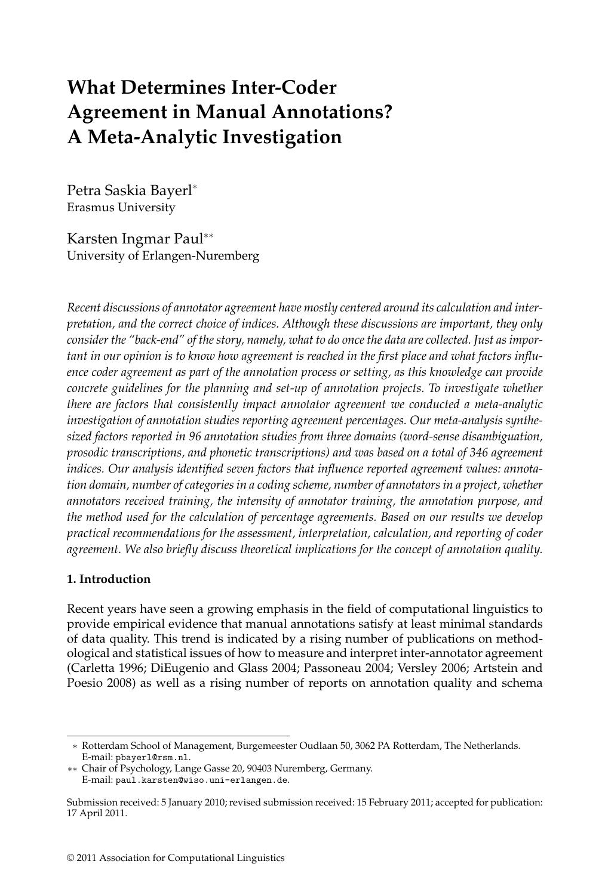# **What Determines Inter-Coder Agreement in Manual Annotations? A Meta-Analytic Investigation**

Petra Saskia Bayerl<sup>∗</sup> Erasmus University

Karsten Ingmar Paul∗∗ University of Erlangen-Nuremberg

*Recent discussions of annotator agreement have mostly centered around its calculation and interpretation, and the correct choice of indices. Although these discussions are important, they only consider the "back-end" of the story, namely, what to do once the data are collected. Just as important in our opinion is to know how agreement is reached in the first place and what factors influence coder agreement as part of the annotation process or setting, as this knowledge can provide concrete guidelines for the planning and set-up of annotation projects. To investigate whether there are factors that consistently impact annotator agreement we conducted a meta-analytic investigation of annotation studies reporting agreement percentages. Our meta-analysis synthesized factors reported in 96 annotation studies from three domains (word-sense disambiguation, prosodic transcriptions, and phonetic transcriptions) and was based on a total of 346 agreement indices. Our analysis identified seven factors that influence reported agreement values: annotation domain, number of categories in a coding scheme, number of annotators in a project, whether annotators received training, the intensity of annotator training, the annotation purpose, and the method used for the calculation of percentage agreements. Based on our results we develop practical recommendations for the assessment, interpretation, calculation, and reporting of coder agreement. We also briefly discuss theoretical implications for the concept of annotation quality.*

# **1. Introduction**

Recent years have seen a growing emphasis in the field of computational linguistics to provide empirical evidence that manual annotations satisfy at least minimal standards of data quality. This trend is indicated by a rising number of publications on methodological and statistical issues of how to measure and interpret inter-annotator agreement (Carletta 1996; DiEugenio and Glass 2004; Passoneau 2004; Versley 2006; Artstein and Poesio 2008) as well as a rising number of reports on annotation quality and schema

<sup>∗</sup> Rotterdam School of Management, Burgemeester Oudlaan 50, 3062 PA Rotterdam, The Netherlands. E-mail: pbayerl@rsm.nl.

<sup>∗∗</sup> Chair of Psychology, Lange Gasse 20, 90403 Nuremberg, Germany. E-mail: paul.karsten@wiso.uni-erlangen.de.

Submission received: 5 January 2010; revised submission received: 15 February 2011; accepted for publication: 17 April 2011.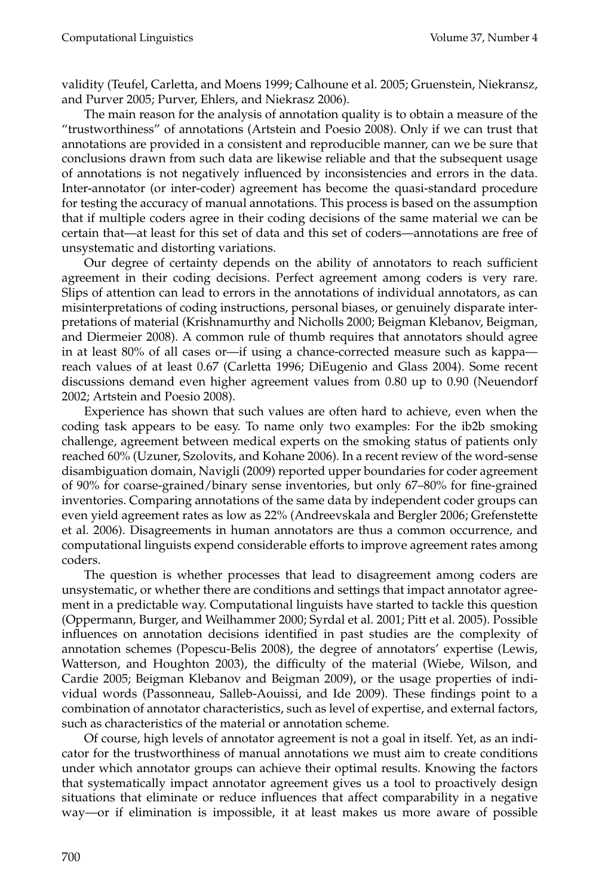validity (Teufel, Carletta, and Moens 1999; Calhoune et al. 2005; Gruenstein, Niekransz, and Purver 2005; Purver, Ehlers, and Niekrasz 2006).

The main reason for the analysis of annotation quality is to obtain a measure of the "trustworthiness" of annotations (Artstein and Poesio 2008). Only if we can trust that annotations are provided in a consistent and reproducible manner, can we be sure that conclusions drawn from such data are likewise reliable and that the subsequent usage of annotations is not negatively influenced by inconsistencies and errors in the data. Inter-annotator (or inter-coder) agreement has become the quasi-standard procedure for testing the accuracy of manual annotations. This process is based on the assumption that if multiple coders agree in their coding decisions of the same material we can be certain that—at least for this set of data and this set of coders—annotations are free of unsystematic and distorting variations.

Our degree of certainty depends on the ability of annotators to reach sufficient agreement in their coding decisions. Perfect agreement among coders is very rare. Slips of attention can lead to errors in the annotations of individual annotators, as can misinterpretations of coding instructions, personal biases, or genuinely disparate interpretations of material (Krishnamurthy and Nicholls 2000; Beigman Klebanov, Beigman, and Diermeier 2008). A common rule of thumb requires that annotators should agree in at least 80% of all cases or—if using a chance-corrected measure such as kappa reach values of at least 0.67 (Carletta 1996; DiEugenio and Glass 2004). Some recent discussions demand even higher agreement values from 0.80 up to 0.90 (Neuendorf 2002; Artstein and Poesio 2008).

Experience has shown that such values are often hard to achieve, even when the coding task appears to be easy. To name only two examples: For the ib2b smoking challenge, agreement between medical experts on the smoking status of patients only reached 60% (Uzuner, Szolovits, and Kohane 2006). In a recent review of the word-sense disambiguation domain, Navigli (2009) reported upper boundaries for coder agreement of 90% for coarse-grained/binary sense inventories, but only 67–80% for fine-grained inventories. Comparing annotations of the same data by independent coder groups can even yield agreement rates as low as 22% (Andreevskala and Bergler 2006; Grefenstette et al. 2006). Disagreements in human annotators are thus a common occurrence, and computational linguists expend considerable efforts to improve agreement rates among coders.

The question is whether processes that lead to disagreement among coders are unsystematic, or whether there are conditions and settings that impact annotator agreement in a predictable way. Computational linguists have started to tackle this question (Oppermann, Burger, and Weilhammer 2000; Syrdal et al. 2001; Pitt et al. 2005). Possible influences on annotation decisions identified in past studies are the complexity of annotation schemes (Popescu-Belis 2008), the degree of annotators' expertise (Lewis, Watterson, and Houghton 2003), the difficulty of the material (Wiebe, Wilson, and Cardie 2005; Beigman Klebanov and Beigman 2009), or the usage properties of individual words (Passonneau, Salleb-Aouissi, and Ide 2009). These findings point to a combination of annotator characteristics, such as level of expertise, and external factors, such as characteristics of the material or annotation scheme.

Of course, high levels of annotator agreement is not a goal in itself. Yet, as an indicator for the trustworthiness of manual annotations we must aim to create conditions under which annotator groups can achieve their optimal results. Knowing the factors that systematically impact annotator agreement gives us a tool to proactively design situations that eliminate or reduce influences that affect comparability in a negative way—or if elimination is impossible, it at least makes us more aware of possible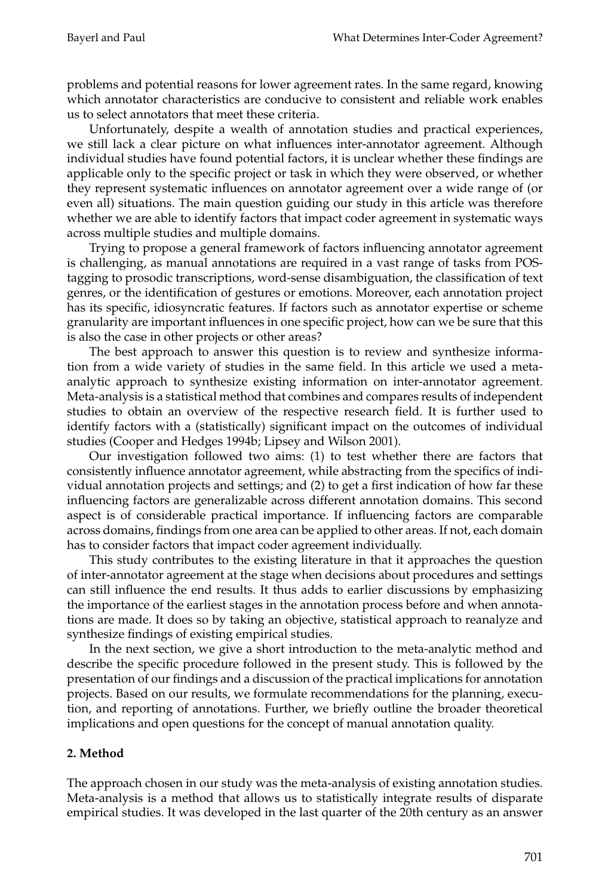problems and potential reasons for lower agreement rates. In the same regard, knowing which annotator characteristics are conducive to consistent and reliable work enables us to select annotators that meet these criteria.

Unfortunately, despite a wealth of annotation studies and practical experiences, we still lack a clear picture on what influences inter-annotator agreement. Although individual studies have found potential factors, it is unclear whether these findings are applicable only to the specific project or task in which they were observed, or whether they represent systematic influences on annotator agreement over a wide range of (or even all) situations. The main question guiding our study in this article was therefore whether we are able to identify factors that impact coder agreement in systematic ways across multiple studies and multiple domains.

Trying to propose a general framework of factors influencing annotator agreement is challenging, as manual annotations are required in a vast range of tasks from POStagging to prosodic transcriptions, word-sense disambiguation, the classification of text genres, or the identification of gestures or emotions. Moreover, each annotation project has its specific, idiosyncratic features. If factors such as annotator expertise or scheme granularity are important influences in one specific project, how can we be sure that this is also the case in other projects or other areas?

The best approach to answer this question is to review and synthesize information from a wide variety of studies in the same field. In this article we used a metaanalytic approach to synthesize existing information on inter-annotator agreement. Meta-analysis is a statistical method that combines and compares results of independent studies to obtain an overview of the respective research field. It is further used to identify factors with a (statistically) significant impact on the outcomes of individual studies (Cooper and Hedges 1994b; Lipsey and Wilson 2001).

Our investigation followed two aims: (1) to test whether there are factors that consistently influence annotator agreement, while abstracting from the specifics of individual annotation projects and settings; and (2) to get a first indication of how far these influencing factors are generalizable across different annotation domains. This second aspect is of considerable practical importance. If influencing factors are comparable across domains, findings from one area can be applied to other areas. If not, each domain has to consider factors that impact coder agreement individually.

This study contributes to the existing literature in that it approaches the question of inter-annotator agreement at the stage when decisions about procedures and settings can still influence the end results. It thus adds to earlier discussions by emphasizing the importance of the earliest stages in the annotation process before and when annotations are made. It does so by taking an objective, statistical approach to reanalyze and synthesize findings of existing empirical studies.

In the next section, we give a short introduction to the meta-analytic method and describe the specific procedure followed in the present study. This is followed by the presentation of our findings and a discussion of the practical implications for annotation projects. Based on our results, we formulate recommendations for the planning, execution, and reporting of annotations. Further, we briefly outline the broader theoretical implications and open questions for the concept of manual annotation quality.

# **2. Method**

The approach chosen in our study was the meta-analysis of existing annotation studies. Meta-analysis is a method that allows us to statistically integrate results of disparate empirical studies. It was developed in the last quarter of the 20th century as an answer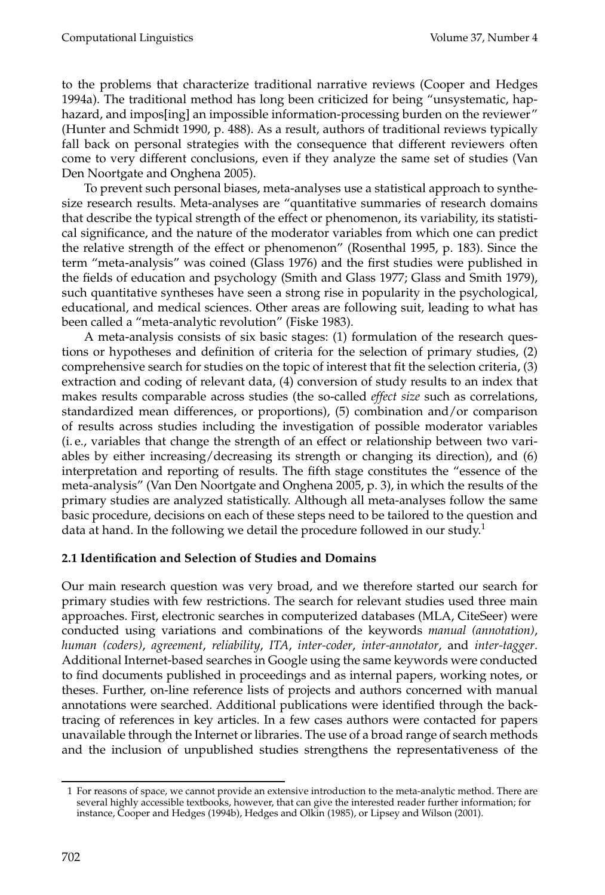to the problems that characterize traditional narrative reviews (Cooper and Hedges 1994a). The traditional method has long been criticized for being "unsystematic, haphazard, and impos[ing] an impossible information-processing burden on the reviewer" (Hunter and Schmidt 1990, p. 488). As a result, authors of traditional reviews typically fall back on personal strategies with the consequence that different reviewers often come to very different conclusions, even if they analyze the same set of studies (Van Den Noortgate and Onghena 2005).

To prevent such personal biases, meta-analyses use a statistical approach to synthesize research results. Meta-analyses are "quantitative summaries of research domains that describe the typical strength of the effect or phenomenon, its variability, its statistical significance, and the nature of the moderator variables from which one can predict the relative strength of the effect or phenomenon" (Rosenthal 1995, p. 183). Since the term "meta-analysis" was coined (Glass 1976) and the first studies were published in the fields of education and psychology (Smith and Glass 1977; Glass and Smith 1979), such quantitative syntheses have seen a strong rise in popularity in the psychological, educational, and medical sciences. Other areas are following suit, leading to what has been called a "meta-analytic revolution" (Fiske 1983).

A meta-analysis consists of six basic stages: (1) formulation of the research questions or hypotheses and definition of criteria for the selection of primary studies, (2) comprehensive search for studies on the topic of interest that fit the selection criteria, (3) extraction and coding of relevant data, (4) conversion of study results to an index that makes results comparable across studies (the so-called *effect size* such as correlations, standardized mean differences, or proportions), (5) combination and/or comparison of results across studies including the investigation of possible moderator variables (i. e., variables that change the strength of an effect or relationship between two variables by either increasing/decreasing its strength or changing its direction), and (6) interpretation and reporting of results. The fifth stage constitutes the "essence of the meta-analysis" (Van Den Noortgate and Onghena 2005, p. 3), in which the results of the primary studies are analyzed statistically. Although all meta-analyses follow the same basic procedure, decisions on each of these steps need to be tailored to the question and data at hand. In the following we detail the procedure followed in our study.<sup>1</sup>

#### **2.1 Identification and Selection of Studies and Domains**

Our main research question was very broad, and we therefore started our search for primary studies with few restrictions. The search for relevant studies used three main approaches. First, electronic searches in computerized databases (MLA, CiteSeer) were conducted using variations and combinations of the keywords *manual (annotation)*, *human (coders)*, *agreement*, *reliability*, *ITA*, *inter-coder*, *inter-annotator*, and *inter-tagger*. Additional Internet-based searches in Google using the same keywords were conducted to find documents published in proceedings and as internal papers, working notes, or theses. Further, on-line reference lists of projects and authors concerned with manual annotations were searched. Additional publications were identified through the backtracing of references in key articles. In a few cases authors were contacted for papers unavailable through the Internet or libraries. The use of a broad range of search methods and the inclusion of unpublished studies strengthens the representativeness of the

<sup>1</sup> For reasons of space, we cannot provide an extensive introduction to the meta-analytic method. There are several highly accessible textbooks, however, that can give the interested reader further information; for instance, Cooper and Hedges (1994b), Hedges and Olkin (1985), or Lipsey and Wilson (2001).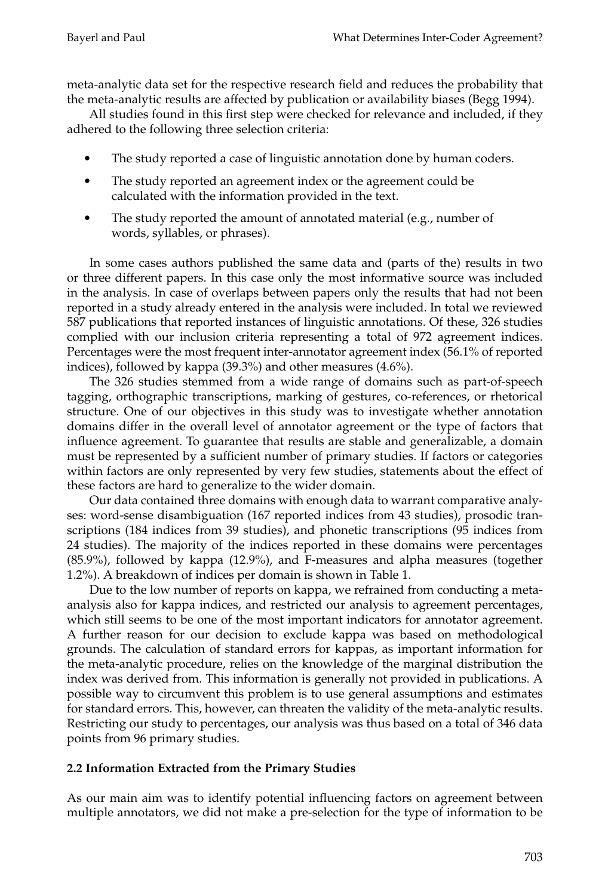meta-analytic data set for the respective research field and reduces the probability that the meta-analytic results are affected by publication or availability biases (Begg 1994).

All studies found in this first step were checked for relevance and included, if they adhered to the following three selection criteria:

- -The study reported a case of linguistic annotation done by human coders.
- $\bullet$  The study reported an agreement index or the agreement could be calculated with the information provided in the text.
- - The study reported the amount of annotated material (e.g., number of words, syllables, or phrases).

In some cases authors published the same data and (parts of the) results in two or three different papers. In this case only the most informative source was included in the analysis. In case of overlaps between papers only the results that had not been reported in a study already entered in the analysis were included. In total we reviewed 587 publications that reported instances of linguistic annotations. Of these, 326 studies complied with our inclusion criteria representing a total of 972 agreement indices. Percentages were the most frequent inter-annotator agreement index (56.1% of reported indices), followed by kappa (39.3%) and other measures (4.6%).

The 326 studies stemmed from a wide range of domains such as part-of-speech tagging, orthographic transcriptions, marking of gestures, co-references, or rhetorical structure. One of our objectives in this study was to investigate whether annotation domains differ in the overall level of annotator agreement or the type of factors that influence agreement. To guarantee that results are stable and generalizable, a domain must be represented by a sufficient number of primary studies. If factors or categories within factors are only represented by very few studies, statements about the effect of these factors are hard to generalize to the wider domain.

Our data contained three domains with enough data to warrant comparative analyses: word-sense disambiguation (167 reported indices from 43 studies), prosodic transcriptions (184 indices from 39 studies), and phonetic transcriptions (95 indices from 24 studies). The majority of the indices reported in these domains were percentages (85.9%), followed by kappa (12.9%), and F-measures and alpha measures (together 1.2%). A breakdown of indices per domain is shown in Table 1.

Due to the low number of reports on kappa, we refrained from conducting a metaanalysis also for kappa indices, and restricted our analysis to agreement percentages, which still seems to be one of the most important indicators for annotator agreement. A further reason for our decision to exclude kappa was based on methodological grounds. The calculation of standard errors for kappas, as important information for the meta-analytic procedure, relies on the knowledge of the marginal distribution the index was derived from. This information is generally not provided in publications. A possible way to circumvent this problem is to use general assumptions and estimates for standard errors. This, however, can threaten the validity of the meta-analytic results. Restricting our study to percentages, our analysis was thus based on a total of 346 data points from 96 primary studies.

# **2.2 Information Extracted from the Primary Studies**

As our main aim was to identify potential influencing factors on agreement between multiple annotators, we did not make a pre-selection for the type of information to be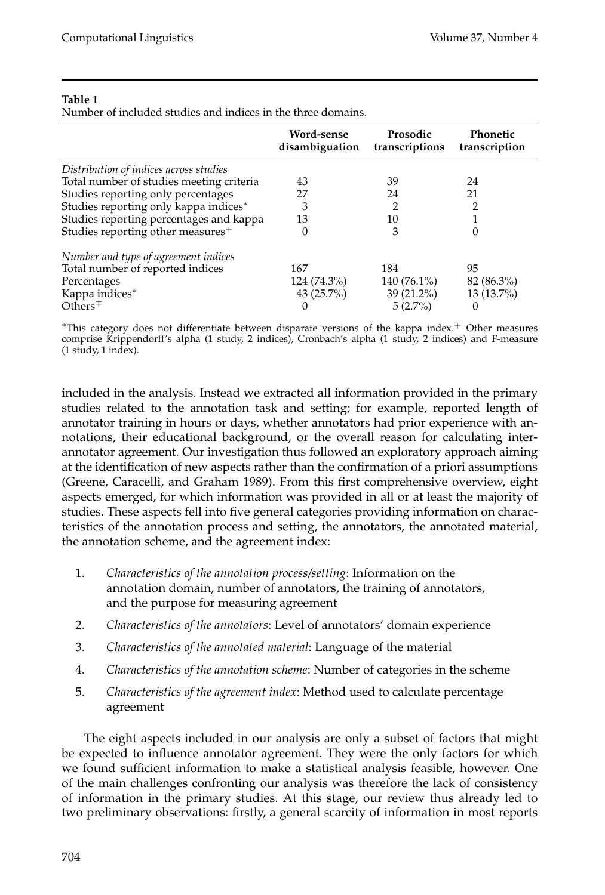#### **Table 1**

Number of included studies and indices in the three domains.

|                                                 | <b>Word-sense</b><br>disambiguation | Prosodic<br>transcriptions | Phonetic<br>transcription |
|-------------------------------------------------|-------------------------------------|----------------------------|---------------------------|
| Distribution of indices across studies          |                                     |                            |                           |
| Total number of studies meeting criteria        | 43                                  | 39                         | 24                        |
| Studies reporting only percentages              | 27                                  | 24                         | 21                        |
| Studies reporting only kappa indices*           | 3                                   | $\overline{2}$             | 2                         |
| Studies reporting percentages and kappa         | 13                                  | 10                         |                           |
| Studies reporting other measures $\overline{+}$ | 0                                   | 3                          |                           |
| Number and type of agreement indices            |                                     |                            |                           |
| Total number of reported indices                | 167                                 | 184                        | 95                        |
| Percentages                                     | 124 (74.3%)                         | $140(76.1\%)$              | 82 (86.3%)                |
| Kappa indices*                                  | 43 $(25.7\%)$                       | $39(21.2\%)$               | 13 (13.7%)                |
| Others $\pm$                                    | $\theta$                            | $5(2.7\%)$                 |                           |

∗This category does not differentiate between disparate versions of the kappa index.∓ Other measures comprise Krippendorff's alpha (1 study, 2 indices), Cronbach's alpha (1 study, 2 indices) and F-measure (1 study, 1 index).

included in the analysis. Instead we extracted all information provided in the primary studies related to the annotation task and setting; for example, reported length of annotator training in hours or days, whether annotators had prior experience with annotations, their educational background, or the overall reason for calculating interannotator agreement. Our investigation thus followed an exploratory approach aiming at the identification of new aspects rather than the confirmation of a priori assumptions (Greene, Caracelli, and Graham 1989). From this first comprehensive overview, eight aspects emerged, for which information was provided in all or at least the majority of studies. These aspects fell into five general categories providing information on characteristics of the annotation process and setting, the annotators, the annotated material, the annotation scheme, and the agreement index:

- 1. *Characteristics of the annotation process/setting*: Information on the annotation domain, number of annotators, the training of annotators, and the purpose for measuring agreement
- 2. *Characteristics of the annotators*: Level of annotators' domain experience
- 3. *Characteristics of the annotated material*: Language of the material
- 4. *Characteristics of the annotation scheme*: Number of categories in the scheme
- 5. *Characteristics of the agreement index*: Method used to calculate percentage agreement

The eight aspects included in our analysis are only a subset of factors that might be expected to influence annotator agreement. They were the only factors for which we found sufficient information to make a statistical analysis feasible, however. One of the main challenges confronting our analysis was therefore the lack of consistency of information in the primary studies. At this stage, our review thus already led to two preliminary observations: firstly, a general scarcity of information in most reports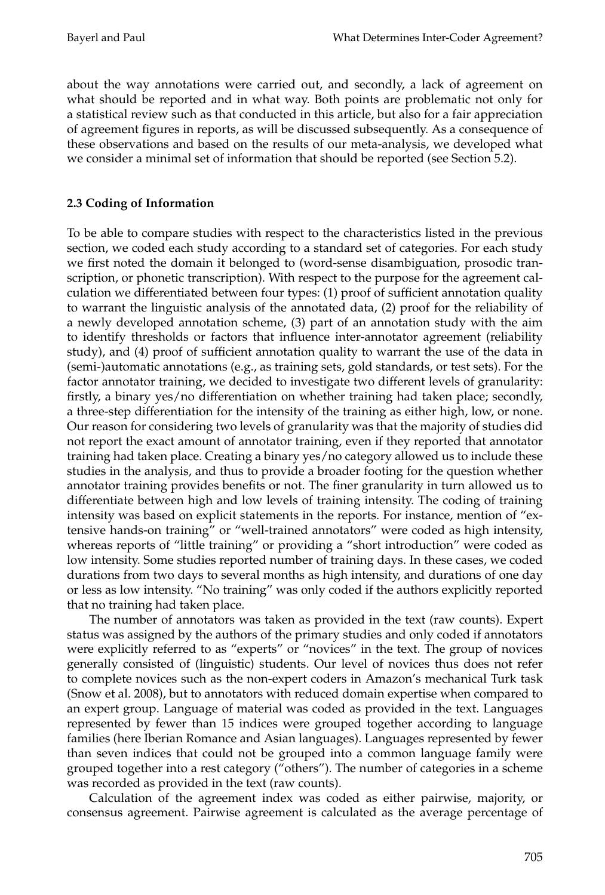about the way annotations were carried out, and secondly, a lack of agreement on what should be reported and in what way. Both points are problematic not only for a statistical review such as that conducted in this article, but also for a fair appreciation of agreement figures in reports, as will be discussed subsequently. As a consequence of these observations and based on the results of our meta-analysis, we developed what we consider a minimal set of information that should be reported (see Section 5.2).

#### **2.3 Coding of Information**

To be able to compare studies with respect to the characteristics listed in the previous section, we coded each study according to a standard set of categories. For each study we first noted the domain it belonged to (word-sense disambiguation, prosodic transcription, or phonetic transcription). With respect to the purpose for the agreement calculation we differentiated between four types: (1) proof of sufficient annotation quality to warrant the linguistic analysis of the annotated data, (2) proof for the reliability of a newly developed annotation scheme, (3) part of an annotation study with the aim to identify thresholds or factors that influence inter-annotator agreement (reliability study), and (4) proof of sufficient annotation quality to warrant the use of the data in (semi-)automatic annotations (e.g., as training sets, gold standards, or test sets). For the factor annotator training, we decided to investigate two different levels of granularity: firstly, a binary yes/no differentiation on whether training had taken place; secondly, a three-step differentiation for the intensity of the training as either high, low, or none. Our reason for considering two levels of granularity was that the majority of studies did not report the exact amount of annotator training, even if they reported that annotator training had taken place. Creating a binary yes/no category allowed us to include these studies in the analysis, and thus to provide a broader footing for the question whether annotator training provides benefits or not. The finer granularity in turn allowed us to differentiate between high and low levels of training intensity. The coding of training intensity was based on explicit statements in the reports. For instance, mention of "extensive hands-on training" or "well-trained annotators" were coded as high intensity, whereas reports of "little training" or providing a "short introduction" were coded as low intensity. Some studies reported number of training days. In these cases, we coded durations from two days to several months as high intensity, and durations of one day or less as low intensity. "No training" was only coded if the authors explicitly reported that no training had taken place.

The number of annotators was taken as provided in the text (raw counts). Expert status was assigned by the authors of the primary studies and only coded if annotators were explicitly referred to as "experts" or "novices" in the text. The group of novices generally consisted of (linguistic) students. Our level of novices thus does not refer to complete novices such as the non-expert coders in Amazon's mechanical Turk task (Snow et al. 2008), but to annotators with reduced domain expertise when compared to an expert group. Language of material was coded as provided in the text. Languages represented by fewer than 15 indices were grouped together according to language families (here Iberian Romance and Asian languages). Languages represented by fewer than seven indices that could not be grouped into a common language family were grouped together into a rest category ("others"). The number of categories in a scheme was recorded as provided in the text (raw counts).

Calculation of the agreement index was coded as either pairwise, majority, or consensus agreement. Pairwise agreement is calculated as the average percentage of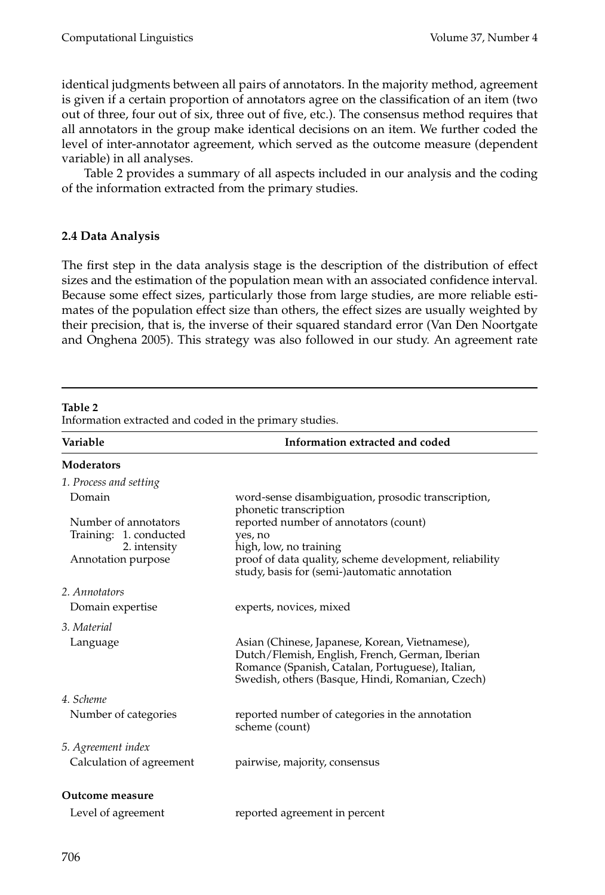identical judgments between all pairs of annotators. In the majority method, agreement is given if a certain proportion of annotators agree on the classification of an item (two out of three, four out of six, three out of five, etc.). The consensus method requires that all annotators in the group make identical decisions on an item. We further coded the level of inter-annotator agreement, which served as the outcome measure (dependent variable) in all analyses.

Table 2 provides a summary of all aspects included in our analysis and the coding of the information extracted from the primary studies.

#### **2.4 Data Analysis**

The first step in the data analysis stage is the description of the distribution of effect sizes and the estimation of the population mean with an associated confidence interval. Because some effect sizes, particularly those from large studies, are more reliable estimates of the population effect size than others, the effect sizes are usually weighted by their precision, that is, the inverse of their squared standard error (Van Den Noortgate and Onghena 2005). This strategy was also followed in our study. An agreement rate

**Table 2**

Information extracted and coded in the primary studies.

| Variable                                                                                       | Information extracted and coded                                                                                                                                                                                                                                      |  |  |  |  |
|------------------------------------------------------------------------------------------------|----------------------------------------------------------------------------------------------------------------------------------------------------------------------------------------------------------------------------------------------------------------------|--|--|--|--|
| <b>Moderators</b>                                                                              |                                                                                                                                                                                                                                                                      |  |  |  |  |
| 1. Process and setting                                                                         |                                                                                                                                                                                                                                                                      |  |  |  |  |
| Domain<br>Number of annotators<br>Training: 1. conducted<br>2. intensity<br>Annotation purpose | word-sense disambiguation, prosodic transcription,<br>phonetic transcription<br>reported number of annotators (count)<br>yes, no<br>high, low, no training<br>proof of data quality, scheme development, reliability<br>study, basis for (semi-)automatic annotation |  |  |  |  |
| 2. Annotators                                                                                  |                                                                                                                                                                                                                                                                      |  |  |  |  |
| Domain expertise                                                                               | experts, novices, mixed                                                                                                                                                                                                                                              |  |  |  |  |
| 3. Material                                                                                    |                                                                                                                                                                                                                                                                      |  |  |  |  |
| Language                                                                                       | Asian (Chinese, Japanese, Korean, Vietnamese),<br>Dutch/Flemish, English, French, German, Iberian<br>Romance (Spanish, Catalan, Portuguese), Italian,<br>Swedish, others (Basque, Hindi, Romanian, Czech)                                                            |  |  |  |  |
| 4. Scheme                                                                                      |                                                                                                                                                                                                                                                                      |  |  |  |  |
| Number of categories                                                                           | reported number of categories in the annotation<br>scheme (count)                                                                                                                                                                                                    |  |  |  |  |
| 5. Agreement index                                                                             |                                                                                                                                                                                                                                                                      |  |  |  |  |
| Calculation of agreement                                                                       | pairwise, majority, consensus                                                                                                                                                                                                                                        |  |  |  |  |
| <b>Outcome measure</b>                                                                         |                                                                                                                                                                                                                                                                      |  |  |  |  |
| Level of agreement                                                                             | reported agreement in percent                                                                                                                                                                                                                                        |  |  |  |  |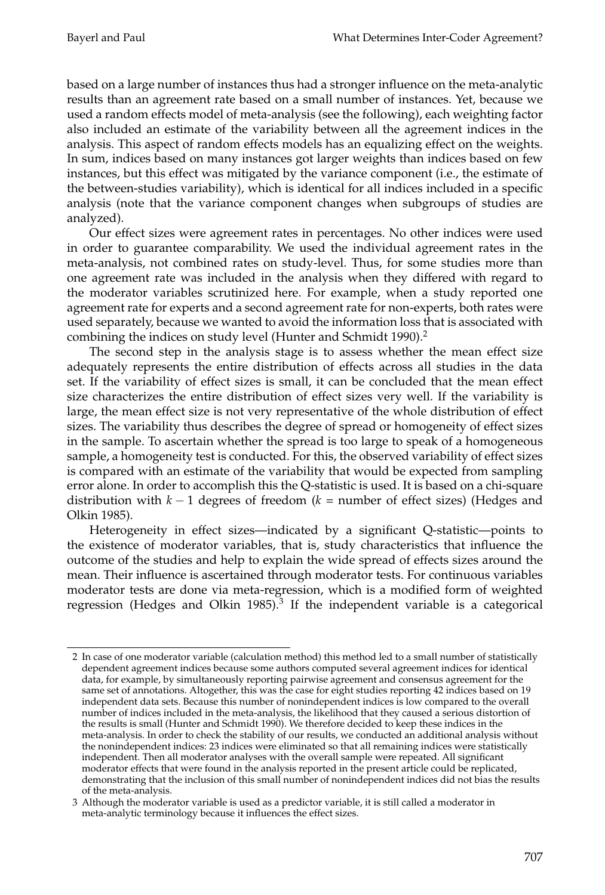based on a large number of instances thus had a stronger influence on the meta-analytic results than an agreement rate based on a small number of instances. Yet, because we used a random effects model of meta-analysis (see the following), each weighting factor also included an estimate of the variability between all the agreement indices in the analysis. This aspect of random effects models has an equalizing effect on the weights. In sum, indices based on many instances got larger weights than indices based on few instances, but this effect was mitigated by the variance component (i.e., the estimate of the between-studies variability), which is identical for all indices included in a specific analysis (note that the variance component changes when subgroups of studies are analyzed).

Our effect sizes were agreement rates in percentages. No other indices were used in order to guarantee comparability. We used the individual agreement rates in the meta-analysis, not combined rates on study-level. Thus, for some studies more than one agreement rate was included in the analysis when they differed with regard to the moderator variables scrutinized here. For example, when a study reported one agreement rate for experts and a second agreement rate for non-experts, both rates were used separately, because we wanted to avoid the information loss that is associated with combining the indices on study level (Hunter and Schmidt 1990).<sup>2</sup>

The second step in the analysis stage is to assess whether the mean effect size adequately represents the entire distribution of effects across all studies in the data set. If the variability of effect sizes is small, it can be concluded that the mean effect size characterizes the entire distribution of effect sizes very well. If the variability is large, the mean effect size is not very representative of the whole distribution of effect sizes. The variability thus describes the degree of spread or homogeneity of effect sizes in the sample. To ascertain whether the spread is too large to speak of a homogeneous sample, a homogeneity test is conducted. For this, the observed variability of effect sizes is compared with an estimate of the variability that would be expected from sampling error alone. In order to accomplish this the Q-statistic is used. It is based on a chi-square distribution with *k* − 1 degrees of freedom (*k* = number of effect sizes) (Hedges and Olkin 1985).

Heterogeneity in effect sizes—indicated by a significant Q-statistic—points to the existence of moderator variables, that is, study characteristics that influence the outcome of the studies and help to explain the wide spread of effects sizes around the mean. Their influence is ascertained through moderator tests. For continuous variables moderator tests are done via meta-regression, which is a modified form of weighted regression (Hedges and Olkin  $1985$ ).<sup>3</sup> If the independent variable is a categorical

<sup>2</sup> In case of one moderator variable (calculation method) this method led to a small number of statistically dependent agreement indices because some authors computed several agreement indices for identical data, for example, by simultaneously reporting pairwise agreement and consensus agreement for the same set of annotations. Altogether, this was the case for eight studies reporting 42 indices based on 19 independent data sets. Because this number of nonindependent indices is low compared to the overall number of indices included in the meta-analysis, the likelihood that they caused a serious distortion of the results is small (Hunter and Schmidt 1990). We therefore decided to keep these indices in the meta-analysis. In order to check the stability of our results, we conducted an additional analysis without the nonindependent indices: 23 indices were eliminated so that all remaining indices were statistically independent. Then all moderator analyses with the overall sample were repeated. All significant moderator effects that were found in the analysis reported in the present article could be replicated, demonstrating that the inclusion of this small number of nonindependent indices did not bias the results of the meta-analysis.

<sup>3</sup> Although the moderator variable is used as a predictor variable, it is still called a moderator in meta-analytic terminology because it influences the effect sizes.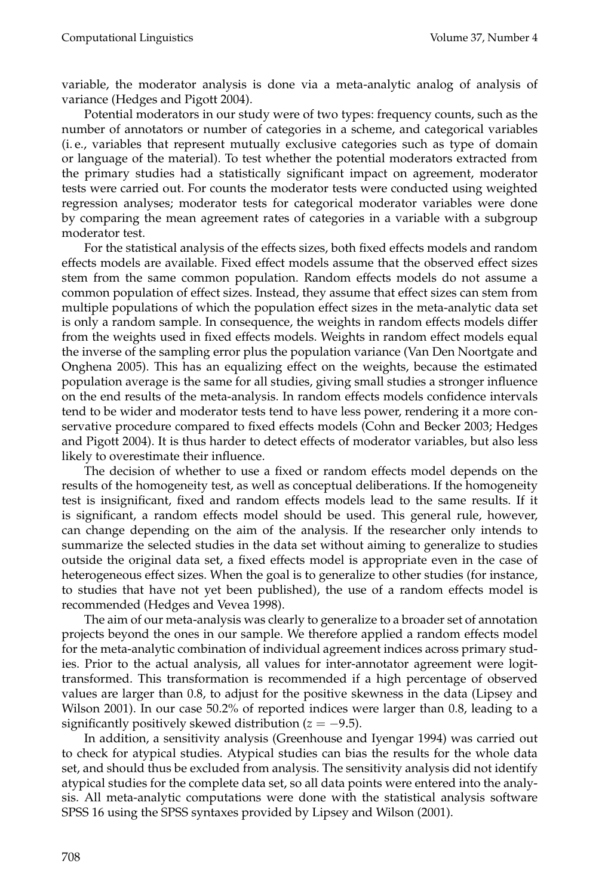variable, the moderator analysis is done via a meta-analytic analog of analysis of variance (Hedges and Pigott 2004).

Potential moderators in our study were of two types: frequency counts, such as the number of annotators or number of categories in a scheme, and categorical variables (i. e., variables that represent mutually exclusive categories such as type of domain or language of the material). To test whether the potential moderators extracted from the primary studies had a statistically significant impact on agreement, moderator tests were carried out. For counts the moderator tests were conducted using weighted regression analyses; moderator tests for categorical moderator variables were done by comparing the mean agreement rates of categories in a variable with a subgroup moderator test.

For the statistical analysis of the effects sizes, both fixed effects models and random effects models are available. Fixed effect models assume that the observed effect sizes stem from the same common population. Random effects models do not assume a common population of effect sizes. Instead, they assume that effect sizes can stem from multiple populations of which the population effect sizes in the meta-analytic data set is only a random sample. In consequence, the weights in random effects models differ from the weights used in fixed effects models. Weights in random effect models equal the inverse of the sampling error plus the population variance (Van Den Noortgate and Onghena 2005). This has an equalizing effect on the weights, because the estimated population average is the same for all studies, giving small studies a stronger influence on the end results of the meta-analysis. In random effects models confidence intervals tend to be wider and moderator tests tend to have less power, rendering it a more conservative procedure compared to fixed effects models (Cohn and Becker 2003; Hedges and Pigott 2004). It is thus harder to detect effects of moderator variables, but also less likely to overestimate their influence.

The decision of whether to use a fixed or random effects model depends on the results of the homogeneity test, as well as conceptual deliberations. If the homogeneity test is insignificant, fixed and random effects models lead to the same results. If it is significant, a random effects model should be used. This general rule, however, can change depending on the aim of the analysis. If the researcher only intends to summarize the selected studies in the data set without aiming to generalize to studies outside the original data set, a fixed effects model is appropriate even in the case of heterogeneous effect sizes. When the goal is to generalize to other studies (for instance, to studies that have not yet been published), the use of a random effects model is recommended (Hedges and Vevea 1998).

The aim of our meta-analysis was clearly to generalize to a broader set of annotation projects beyond the ones in our sample. We therefore applied a random effects model for the meta-analytic combination of individual agreement indices across primary studies. Prior to the actual analysis, all values for inter-annotator agreement were logittransformed. This transformation is recommended if a high percentage of observed values are larger than 0.8, to adjust for the positive skewness in the data (Lipsey and Wilson 2001). In our case 50.2% of reported indices were larger than 0.8, leading to a significantly positively skewed distribution  $(z = -9.5)$ .

In addition, a sensitivity analysis (Greenhouse and Iyengar 1994) was carried out to check for atypical studies. Atypical studies can bias the results for the whole data set, and should thus be excluded from analysis. The sensitivity analysis did not identify atypical studies for the complete data set, so all data points were entered into the analysis. All meta-analytic computations were done with the statistical analysis software SPSS 16 using the SPSS syntaxes provided by Lipsey and Wilson (2001).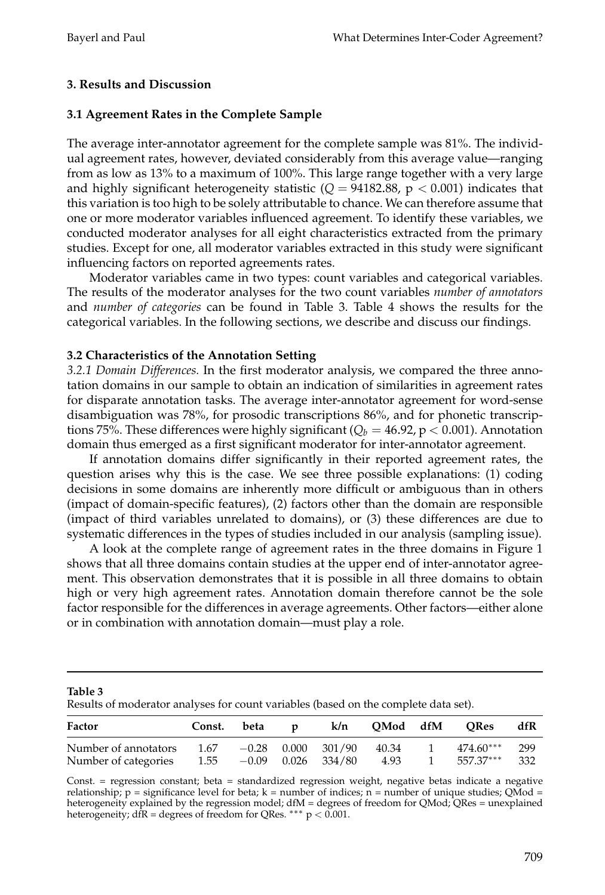#### **3. Results and Discussion**

#### **3.1 Agreement Rates in the Complete Sample**

The average inter-annotator agreement for the complete sample was 81%. The individual agreement rates, however, deviated considerably from this average value—ranging from as low as 13% to a maximum of 100%. This large range together with a very large and highly significant heterogeneity statistic ( $Q = 94182.88$ ,  $p < 0.001$ ) indicates that this variation is too high to be solely attributable to chance. We can therefore assume that one or more moderator variables influenced agreement. To identify these variables, we conducted moderator analyses for all eight characteristics extracted from the primary studies. Except for one, all moderator variables extracted in this study were significant influencing factors on reported agreements rates.

Moderator variables came in two types: count variables and categorical variables. The results of the moderator analyses for the two count variables *number of annotators* and *number of categories* can be found in Table 3. Table 4 shows the results for the categorical variables. In the following sections, we describe and discuss our findings.

#### **3.2 Characteristics of the Annotation Setting**

*3.2.1 Domain Differences.* In the first moderator analysis, we compared the three annotation domains in our sample to obtain an indication of similarities in agreement rates for disparate annotation tasks. The average inter-annotator agreement for word-sense disambiguation was 78%, for prosodic transcriptions 86%, and for phonetic transcriptions 75%. These differences were highly significant  $(Q_b = 46.92, p < 0.001)$ . Annotation domain thus emerged as a first significant moderator for inter-annotator agreement.

If annotation domains differ significantly in their reported agreement rates, the question arises why this is the case. We see three possible explanations: (1) coding decisions in some domains are inherently more difficult or ambiguous than in others (impact of domain-specific features), (2) factors other than the domain are responsible (impact of third variables unrelated to domains), or (3) these differences are due to systematic differences in the types of studies included in our analysis (sampling issue).

A look at the complete range of agreement rates in the three domains in Figure 1 shows that all three domains contain studies at the upper end of inter-annotator agreement. This observation demonstrates that it is possible in all three domains to obtain high or very high agreement rates. Annotation domain therefore cannot be the sole factor responsible for the differences in average agreements. Other factors—either alone or in combination with annotation domain—must play a role.

#### **Table 3**

Results of moderator analyses for count variables (based on the complete data set).

| Factor                                       | Const.       | beta | $\mathbf{D}$ | k/n                                          | OMod dfM      | <b>ORes</b>            | dfR        |
|----------------------------------------------|--------------|------|--------------|----------------------------------------------|---------------|------------------------|------------|
| Number of annotators<br>Number of categories | 1.67<br>1.55 |      |              | $-0.28$ 0.000 301/90<br>$-0.09$ 0.026 334/80 | 40.34<br>4.93 | 474.60***<br>557.37*** | 299<br>332 |

Const. = regression constant; beta = standardized regression weight, negative betas indicate a negative relationship;  $p =$  significance level for beta;  $k =$  number of indices;  $n =$  number of unique studies; QMod = heterogeneity explained by the regression model; dfM = degrees of freedom for QMod; QRes = unexplained heterogeneity; dfR = degrees of freedom for QRes. \*\*\*  $p < 0.001$ .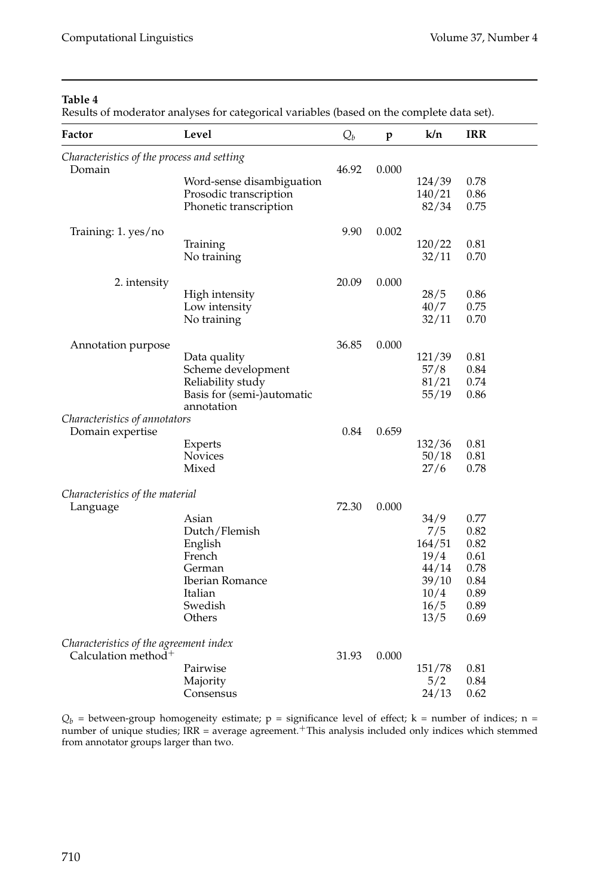#### **Table 4**

Results of moderator analyses for categorical variables (based on the complete data set).

| Factor                                               | Level                                    | $Q_b$ | p     | k/n         | <b>IRR</b>   |
|------------------------------------------------------|------------------------------------------|-------|-------|-------------|--------------|
| Characteristics of the process and setting<br>Domain |                                          | 46.92 | 0.000 |             |              |
|                                                      | Word-sense disambiguation                |       |       | 124/39      | 0.78         |
|                                                      | Prosodic transcription                   |       |       | 140/21      | 0.86         |
|                                                      | Phonetic transcription                   |       |       | 82/34       | 0.75         |
| Training: 1. yes/no                                  |                                          | 9.90  | 0.002 |             |              |
|                                                      | Training                                 |       |       | 120/22      | 0.81         |
|                                                      | No training                              |       |       | 32/11       | 0.70         |
| 2. intensity                                         |                                          | 20.09 | 0.000 |             |              |
|                                                      | High intensity                           |       |       | 28/5        | 0.86         |
|                                                      | Low intensity                            |       |       | 40/7        | 0.75         |
|                                                      | No training                              |       |       | 32/11       | 0.70         |
| Annotation purpose                                   |                                          | 36.85 | 0.000 |             |              |
|                                                      | Data quality                             |       |       | 121/39      | 0.81         |
|                                                      | Scheme development                       |       |       | 57/8        | 0.84         |
|                                                      | Reliability study                        |       |       | 81/21       | 0.74         |
|                                                      | Basis for (semi-)automatic<br>annotation |       |       | 55/19       | 0.86         |
| Characteristics of annotators                        |                                          |       |       |             |              |
| Domain expertise                                     |                                          | 0.84  | 0.659 |             |              |
|                                                      | Experts                                  |       |       | 132/36      | 0.81         |
|                                                      | <b>Novices</b><br>Mixed                  |       |       | 50/18       | 0.81<br>0.78 |
|                                                      |                                          |       |       | 27/6        |              |
| Characteristics of the material                      |                                          |       |       |             |              |
| Language                                             |                                          | 72.30 | 0.000 |             | 0.77         |
|                                                      | Asian<br>Dutch/Flemish                   |       |       | 34/9<br>7/5 | 0.82         |
|                                                      | English                                  |       |       | 164/51      | 0.82         |
|                                                      | French                                   |       |       | 19/4        | 0.61         |
|                                                      | German                                   |       |       | 44/14       | 0.78         |
|                                                      | Iberian Romance                          |       |       | 39/10       | 0.84         |
|                                                      | Italian                                  |       |       | 10/4        | 0.89         |
|                                                      | Swedish                                  |       |       | 16/5        | 0.89         |
|                                                      | Others                                   |       |       | 13/5        | 0.69         |
| Characteristics of the agreement index               |                                          |       |       |             |              |
| Calculation method <sup>+</sup>                      |                                          | 31.93 | 0.000 |             |              |
|                                                      | Pairwise                                 |       |       | 151/78      | 0.81         |
|                                                      | Majority                                 |       |       | 5/2         | 0.84         |
|                                                      | Consensus                                |       |       | 24/13       | 0.62         |

 $Q_b$  = between-group homogeneity estimate;  $p =$  significance level of effect;  $k =$  number of indices; n = number of unique studies; IRR = average agreement.<sup>+</sup>This analysis included only indices which stemmed from annotator groups larger than two.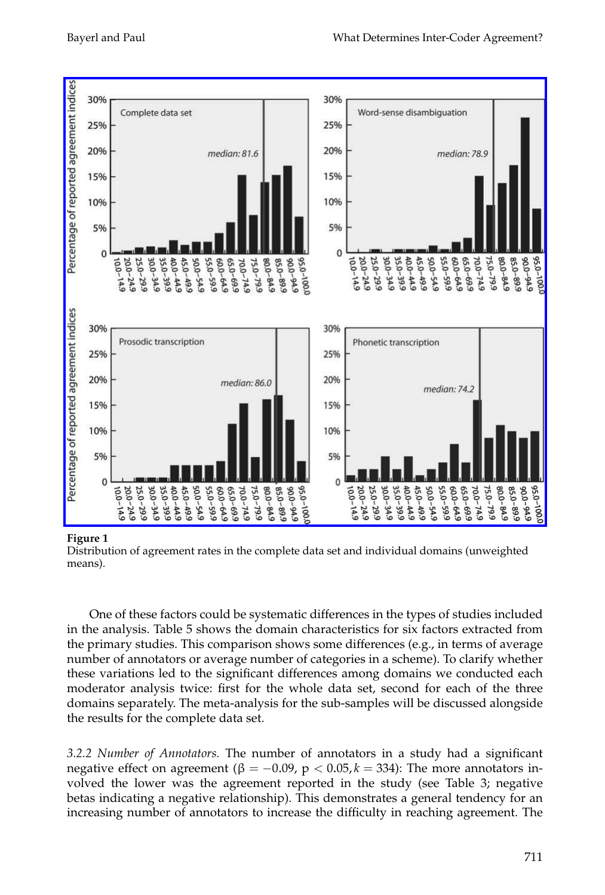

**Figure 1**

Distribution of agreement rates in the complete data set and individual domains (unweighted means).

One of these factors could be systematic differences in the types of studies included in the analysis. Table 5 shows the domain characteristics for six factors extracted from the primary studies. This comparison shows some differences (e.g., in terms of average number of annotators or average number of categories in a scheme). To clarify whether these variations led to the significant differences among domains we conducted each moderator analysis twice: first for the whole data set, second for each of the three domains separately. The meta-analysis for the sub-samples will be discussed alongside the results for the complete data set.

*3.2.2 Number of Annotators.* The number of annotators in a study had a significant negative effect on agreement ( $\beta = -0.09$ ,  $p < 0.05$ ,  $k = 334$ ): The more annotators involved the lower was the agreement reported in the study (see Table 3; negative betas indicating a negative relationship). This demonstrates a general tendency for an increasing number of annotators to increase the difficulty in reaching agreement. The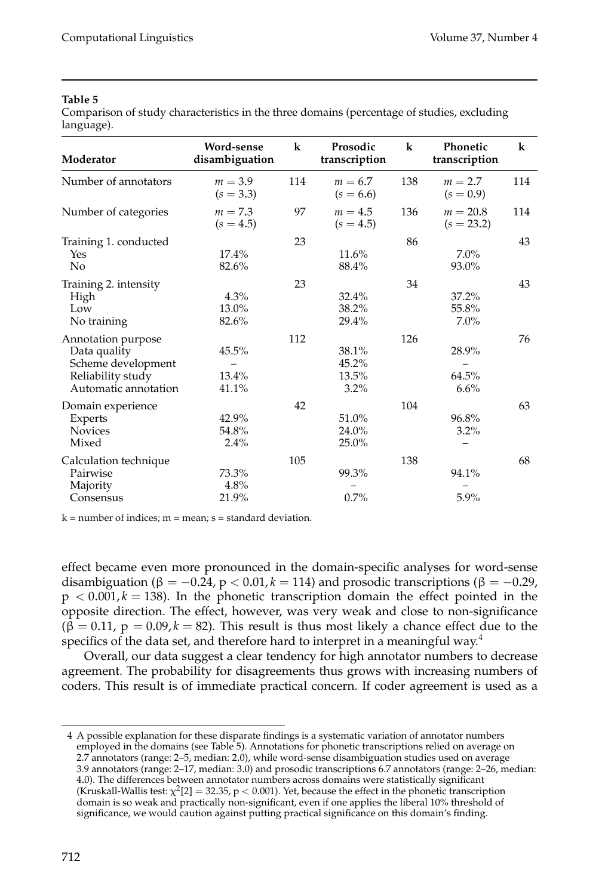#### **Table 5**

Comparison of study characteristics in the three domains (percentage of studies, excluding language).

| Moderator                                                                                             | Word-sense<br>disambiguation | $\bf k$ | Prosodic<br>transcription       | $\bf k$ | Phonetic<br>transcription  | $\bf k$ |
|-------------------------------------------------------------------------------------------------------|------------------------------|---------|---------------------------------|---------|----------------------------|---------|
| Number of annotators                                                                                  | $m = 3.9$<br>$(s = 3.3)$     | 114     | $m = 6.7$<br>$(s = 6.6)$        | 138     | $m = 2.7$<br>$(s = 0.9)$   | 114     |
| Number of categories                                                                                  | $m = 7.3$<br>$(s = 4.5)$     | 97      | $m = 4.5$<br>$(s = 4.5)$        | 136     | $m = 20.8$<br>$(s = 23.2)$ | 114     |
| Training 1. conducted<br>Yes<br>No                                                                    | 17.4%<br>82.6%               | 23      | 11.6%<br>88.4%                  | 86      | $7.0\%$<br>93.0%           | 43      |
| Training 2. intensity<br>High<br>Low<br>No training                                                   | 4.3%<br>13.0%<br>82.6%       | 23      | 32.4%<br>38.2%<br>29.4%         | 34      | 37.2%<br>55.8%<br>$7.0\%$  | 43      |
| Annotation purpose<br>Data quality<br>Scheme development<br>Reliability study<br>Automatic annotation | 45.5%<br>13.4%<br>41.1%      | 112     | 38.1%<br>45.2%<br>13.5%<br>3.2% | 126     | 28.9%<br>64.5%<br>6.6%     | 76      |
| Domain experience<br>Experts<br><b>Novices</b><br>Mixed                                               | 42.9%<br>54.8%<br>2.4%       | 42      | 51.0%<br>24.0%<br>$25.0\%$      | 104     | 96.8%<br>$3.2\%$           | 63      |
| Calculation technique<br>Pairwise<br>Majority<br>Consensus                                            | 73.3%<br>4.8%<br>21.9%       | 105     | 99.3%<br>0.7%                   | 138     | 94.1%<br>5.9%              | 68      |

 $k =$  number of indices;  $m =$  mean;  $s =$  standard deviation.

effect became even more pronounced in the domain-specific analyses for word-sense disambiguation ( $\beta = -0.24$ ,  $p < 0.01$ ,  $k = 114$ ) and prosodic transcriptions ( $\beta = -0.29$ ,  $p < 0.001, k = 138$ ). In the phonetic transcription domain the effect pointed in the opposite direction. The effect, however, was very weak and close to non-significance  $(\beta = 0.11, p = 0.09, k = 82)$ . This result is thus most likely a chance effect due to the specifics of the data set, and therefore hard to interpret in a meaningful way.<sup>4</sup>

Overall, our data suggest a clear tendency for high annotator numbers to decrease agreement. The probability for disagreements thus grows with increasing numbers of coders. This result is of immediate practical concern. If coder agreement is used as a

<sup>4</sup> A possible explanation for these disparate findings is a systematic variation of annotator numbers employed in the domains (see Table 5). Annotations for phonetic transcriptions relied on average on 2.7 annotators (range: 2–5, median: 2.0), while word-sense disambiguation studies used on average 3.9 annotators (range: 2–17, median: 3.0) and prosodic transcriptions 6.7 annotators (range: 2–26, median: 4.0). The differences between annotator numbers across domains were statistically significant (Kruskall-Wallis test:  $\chi^2[2] = 32.35$ ,  $p < 0.001$ ). Yet, because the effect in the phonetic transcription domain is so weak and practically non-significant, even if one applies the liberal 10% threshold of significance, we would caution against putting practical significance on this domain's finding.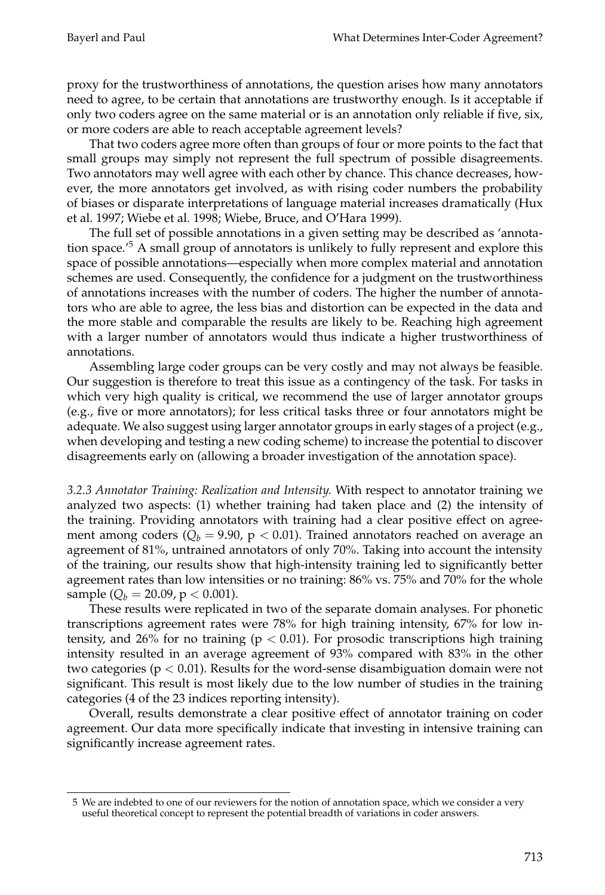proxy for the trustworthiness of annotations, the question arises how many annotators need to agree, to be certain that annotations are trustworthy enough. Is it acceptable if only two coders agree on the same material or is an annotation only reliable if five, six, or more coders are able to reach acceptable agreement levels?

That two coders agree more often than groups of four or more points to the fact that small groups may simply not represent the full spectrum of possible disagreements. Two annotators may well agree with each other by chance. This chance decreases, however, the more annotators get involved, as with rising coder numbers the probability of biases or disparate interpretations of language material increases dramatically (Hux et al. 1997; Wiebe et al. 1998; Wiebe, Bruce, and O'Hara 1999).

The full set of possible annotations in a given setting may be described as 'annotation space.<sup> $5$ </sup> A small group of annotators is unlikely to fully represent and explore this space of possible annotations—especially when more complex material and annotation schemes are used. Consequently, the confidence for a judgment on the trustworthiness of annotations increases with the number of coders. The higher the number of annotators who are able to agree, the less bias and distortion can be expected in the data and the more stable and comparable the results are likely to be. Reaching high agreement with a larger number of annotators would thus indicate a higher trustworthiness of annotations.

Assembling large coder groups can be very costly and may not always be feasible. Our suggestion is therefore to treat this issue as a contingency of the task. For tasks in which very high quality is critical, we recommend the use of larger annotator groups (e.g., five or more annotators); for less critical tasks three or four annotators might be adequate. We also suggest using larger annotator groups in early stages of a project (e.g., when developing and testing a new coding scheme) to increase the potential to discover disagreements early on (allowing a broader investigation of the annotation space).

*3.2.3 Annotator Training: Realization and Intensity.* With respect to annotator training we analyzed two aspects: (1) whether training had taken place and (2) the intensity of the training. Providing annotators with training had a clear positive effect on agreement among coders ( $Q_b$  = 9.90, p < 0.01). Trained annotators reached on average an agreement of 81%, untrained annotators of only 70%. Taking into account the intensity of the training, our results show that high-intensity training led to significantly better agreement rates than low intensities or no training: 86% vs. 75% and 70% for the whole sample ( $Q_b = 20.09$ , p < 0.001).

These results were replicated in two of the separate domain analyses. For phonetic transcriptions agreement rates were 78% for high training intensity, 67% for low intensity, and 26% for no training ( $p < 0.01$ ). For prosodic transcriptions high training intensity resulted in an average agreement of 93% compared with 83% in the other two categories ( $p < 0.01$ ). Results for the word-sense disambiguation domain were not significant. This result is most likely due to the low number of studies in the training categories (4 of the 23 indices reporting intensity).

Overall, results demonstrate a clear positive effect of annotator training on coder agreement. Our data more specifically indicate that investing in intensive training can significantly increase agreement rates.

<sup>5</sup> We are indebted to one of our reviewers for the notion of annotation space, which we consider a very useful theoretical concept to represent the potential breadth of variations in coder answers.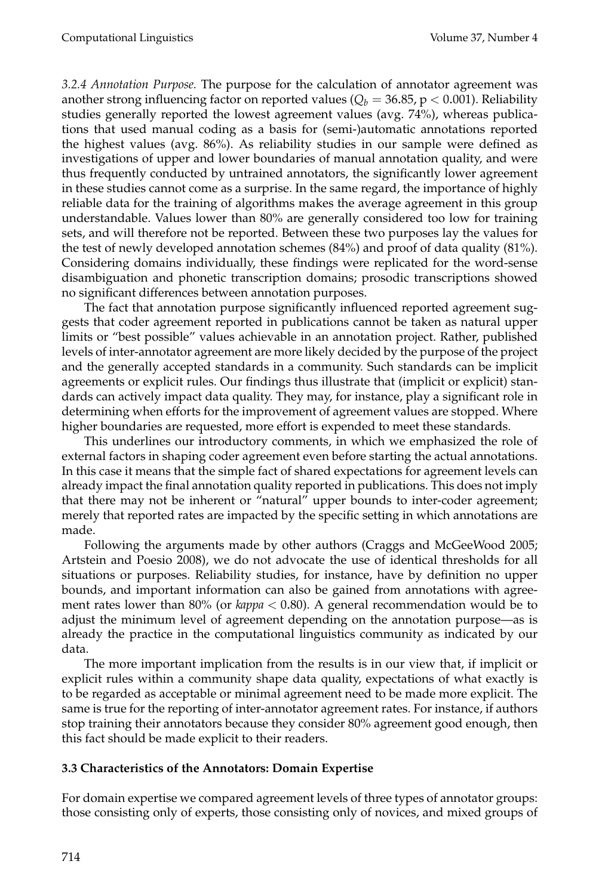*3.2.4 Annotation Purpose.* The purpose for the calculation of annotator agreement was another strong influencing factor on reported values ( $Q_b = 36.85$ ,  $p < 0.001$ ). Reliability studies generally reported the lowest agreement values (avg. 74%), whereas publications that used manual coding as a basis for (semi-)automatic annotations reported the highest values (avg. 86%). As reliability studies in our sample were defined as investigations of upper and lower boundaries of manual annotation quality, and were thus frequently conducted by untrained annotators, the significantly lower agreement in these studies cannot come as a surprise. In the same regard, the importance of highly reliable data for the training of algorithms makes the average agreement in this group understandable. Values lower than 80% are generally considered too low for training sets, and will therefore not be reported. Between these two purposes lay the values for the test of newly developed annotation schemes (84%) and proof of data quality (81%). Considering domains individually, these findings were replicated for the word-sense disambiguation and phonetic transcription domains; prosodic transcriptions showed no significant differences between annotation purposes.

The fact that annotation purpose significantly influenced reported agreement suggests that coder agreement reported in publications cannot be taken as natural upper limits or "best possible" values achievable in an annotation project. Rather, published levels of inter-annotator agreement are more likely decided by the purpose of the project and the generally accepted standards in a community. Such standards can be implicit agreements or explicit rules. Our findings thus illustrate that (implicit or explicit) standards can actively impact data quality. They may, for instance, play a significant role in determining when efforts for the improvement of agreement values are stopped. Where higher boundaries are requested, more effort is expended to meet these standards.

This underlines our introductory comments, in which we emphasized the role of external factors in shaping coder agreement even before starting the actual annotations. In this case it means that the simple fact of shared expectations for agreement levels can already impact the final annotation quality reported in publications. This does not imply that there may not be inherent or "natural" upper bounds to inter-coder agreement; merely that reported rates are impacted by the specific setting in which annotations are made.

Following the arguments made by other authors (Craggs and McGeeWood 2005; Artstein and Poesio 2008), we do not advocate the use of identical thresholds for all situations or purposes. Reliability studies, for instance, have by definition no upper bounds, and important information can also be gained from annotations with agreement rates lower than 80% (or *kappa* < 0.80). A general recommendation would be to adjust the minimum level of agreement depending on the annotation purpose—as is already the practice in the computational linguistics community as indicated by our data.

The more important implication from the results is in our view that, if implicit or explicit rules within a community shape data quality, expectations of what exactly is to be regarded as acceptable or minimal agreement need to be made more explicit. The same is true for the reporting of inter-annotator agreement rates. For instance, if authors stop training their annotators because they consider 80% agreement good enough, then this fact should be made explicit to their readers.

#### **3.3 Characteristics of the Annotators: Domain Expertise**

For domain expertise we compared agreement levels of three types of annotator groups: those consisting only of experts, those consisting only of novices, and mixed groups of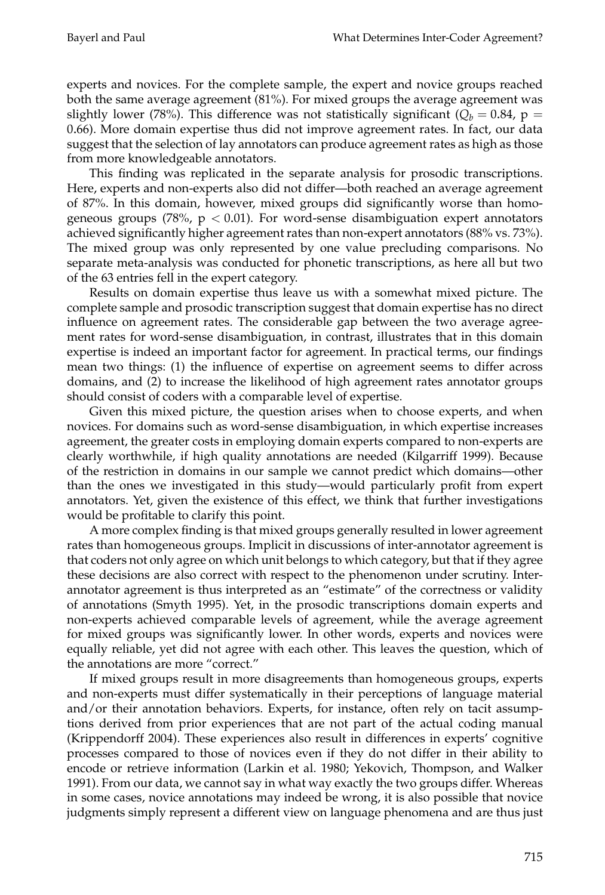experts and novices. For the complete sample, the expert and novice groups reached both the same average agreement (81%). For mixed groups the average agreement was slightly lower (78%). This difference was not statistically significant ( $Q_b = 0.84$ ,  $p =$ 0.66). More domain expertise thus did not improve agreement rates. In fact, our data suggest that the selection of lay annotators can produce agreement rates as high as those from more knowledgeable annotators.

This finding was replicated in the separate analysis for prosodic transcriptions. Here, experts and non-experts also did not differ—both reached an average agreement of 87%. In this domain, however, mixed groups did significantly worse than homogeneous groups (78%,  $p < 0.01$ ). For word-sense disambiguation expert annotators achieved significantly higher agreement rates than non-expert annotators (88% vs. 73%). The mixed group was only represented by one value precluding comparisons. No separate meta-analysis was conducted for phonetic transcriptions, as here all but two of the 63 entries fell in the expert category.

Results on domain expertise thus leave us with a somewhat mixed picture. The complete sample and prosodic transcription suggest that domain expertise has no direct influence on agreement rates. The considerable gap between the two average agreement rates for word-sense disambiguation, in contrast, illustrates that in this domain expertise is indeed an important factor for agreement. In practical terms, our findings mean two things: (1) the influence of expertise on agreement seems to differ across domains, and (2) to increase the likelihood of high agreement rates annotator groups should consist of coders with a comparable level of expertise.

Given this mixed picture, the question arises when to choose experts, and when novices. For domains such as word-sense disambiguation, in which expertise increases agreement, the greater costs in employing domain experts compared to non-experts are clearly worthwhile, if high quality annotations are needed (Kilgarriff 1999). Because of the restriction in domains in our sample we cannot predict which domains—other than the ones we investigated in this study—would particularly profit from expert annotators. Yet, given the existence of this effect, we think that further investigations would be profitable to clarify this point.

A more complex finding is that mixed groups generally resulted in lower agreement rates than homogeneous groups. Implicit in discussions of inter-annotator agreement is that coders not only agree on which unit belongs to which category, but that if they agree these decisions are also correct with respect to the phenomenon under scrutiny. Interannotator agreement is thus interpreted as an "estimate" of the correctness or validity of annotations (Smyth 1995). Yet, in the prosodic transcriptions domain experts and non-experts achieved comparable levels of agreement, while the average agreement for mixed groups was significantly lower. In other words, experts and novices were equally reliable, yet did not agree with each other. This leaves the question, which of the annotations are more "correct."

If mixed groups result in more disagreements than homogeneous groups, experts and non-experts must differ systematically in their perceptions of language material and/or their annotation behaviors. Experts, for instance, often rely on tacit assumptions derived from prior experiences that are not part of the actual coding manual (Krippendorff 2004). These experiences also result in differences in experts' cognitive processes compared to those of novices even if they do not differ in their ability to encode or retrieve information (Larkin et al. 1980; Yekovich, Thompson, and Walker 1991). From our data, we cannot say in what way exactly the two groups differ. Whereas in some cases, novice annotations may indeed be wrong, it is also possible that novice judgments simply represent a different view on language phenomena and are thus just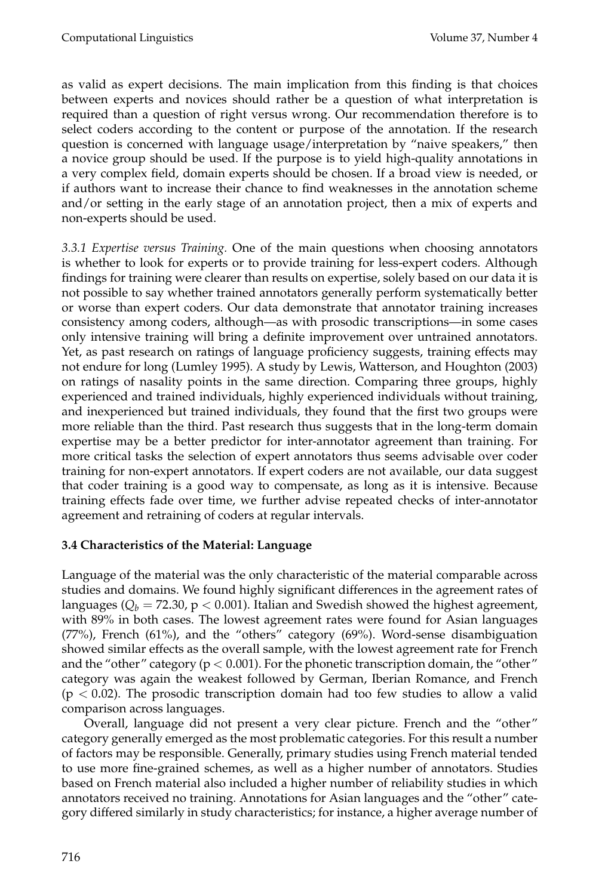as valid as expert decisions. The main implication from this finding is that choices between experts and novices should rather be a question of what interpretation is required than a question of right versus wrong. Our recommendation therefore is to select coders according to the content or purpose of the annotation. If the research question is concerned with language usage/interpretation by "naive speakers," then a novice group should be used. If the purpose is to yield high-quality annotations in a very complex field, domain experts should be chosen. If a broad view is needed, or if authors want to increase their chance to find weaknesses in the annotation scheme and/or setting in the early stage of an annotation project, then a mix of experts and non-experts should be used.

*3.3.1 Expertise versus Training.* One of the main questions when choosing annotators is whether to look for experts or to provide training for less-expert coders. Although findings for training were clearer than results on expertise, solely based on our data it is not possible to say whether trained annotators generally perform systematically better or worse than expert coders. Our data demonstrate that annotator training increases consistency among coders, although—as with prosodic transcriptions—in some cases only intensive training will bring a definite improvement over untrained annotators. Yet, as past research on ratings of language proficiency suggests, training effects may not endure for long (Lumley 1995). A study by Lewis, Watterson, and Houghton (2003) on ratings of nasality points in the same direction. Comparing three groups, highly experienced and trained individuals, highly experienced individuals without training, and inexperienced but trained individuals, they found that the first two groups were more reliable than the third. Past research thus suggests that in the long-term domain expertise may be a better predictor for inter-annotator agreement than training. For more critical tasks the selection of expert annotators thus seems advisable over coder training for non-expert annotators. If expert coders are not available, our data suggest that coder training is a good way to compensate, as long as it is intensive. Because training effects fade over time, we further advise repeated checks of inter-annotator agreement and retraining of coders at regular intervals.

#### **3.4 Characteristics of the Material: Language**

Language of the material was the only characteristic of the material comparable across studies and domains. We found highly significant differences in the agreement rates of languages ( $Q_b = 72.30$ ,  $p < 0.001$ ). Italian and Swedish showed the highest agreement, with 89% in both cases. The lowest agreement rates were found for Asian languages (77%), French (61%), and the "others" category (69%). Word-sense disambiguation showed similar effects as the overall sample, with the lowest agreement rate for French and the "other" category ( $p < 0.001$ ). For the phonetic transcription domain, the "other" category was again the weakest followed by German, Iberian Romance, and French  $(p < 0.02)$ . The prosodic transcription domain had too few studies to allow a valid comparison across languages.

Overall, language did not present a very clear picture. French and the "other" category generally emerged as the most problematic categories. For this result a number of factors may be responsible. Generally, primary studies using French material tended to use more fine-grained schemes, as well as a higher number of annotators. Studies based on French material also included a higher number of reliability studies in which annotators received no training. Annotations for Asian languages and the "other" category differed similarly in study characteristics; for instance, a higher average number of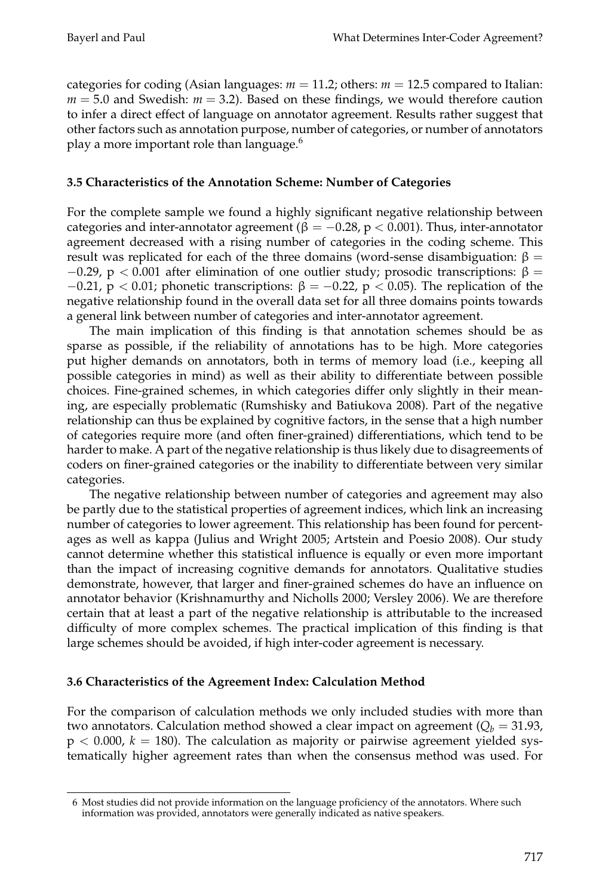categories for coding (Asian languages:  $m = 11.2$ ; others:  $m = 12.5$  compared to Italian:  $m = 5.0$  and Swedish:  $m = 3.2$ ). Based on these findings, we would therefore caution to infer a direct effect of language on annotator agreement. Results rather suggest that other factors such as annotation purpose, number of categories, or number of annotators play a more important role than language.<sup>6</sup>

#### **3.5 Characteristics of the Annotation Scheme: Number of Categories**

For the complete sample we found a highly significant negative relationship between categories and inter-annotator agreement ( $\beta = -0.28$ , p < 0.001). Thus, inter-annotator agreement decreased with a rising number of categories in the coding scheme. This result was replicated for each of the three domains (word-sense disambiguation: β =  $-0.29$ , p < 0.001 after elimination of one outlier study; prosodic transcriptions:  $\beta =$  $-0.21$ ,  $p < 0.01$ ; phonetic transcriptions:  $\beta = -0.22$ ,  $p < 0.05$ ). The replication of the negative relationship found in the overall data set for all three domains points towards a general link between number of categories and inter-annotator agreement.

The main implication of this finding is that annotation schemes should be as sparse as possible, if the reliability of annotations has to be high. More categories put higher demands on annotators, both in terms of memory load (i.e., keeping all possible categories in mind) as well as their ability to differentiate between possible choices. Fine-grained schemes, in which categories differ only slightly in their meaning, are especially problematic (Rumshisky and Batiukova 2008). Part of the negative relationship can thus be explained by cognitive factors, in the sense that a high number of categories require more (and often finer-grained) differentiations, which tend to be harder to make. A part of the negative relationship is thus likely due to disagreements of coders on finer-grained categories or the inability to differentiate between very similar categories.

The negative relationship between number of categories and agreement may also be partly due to the statistical properties of agreement indices, which link an increasing number of categories to lower agreement. This relationship has been found for percentages as well as kappa (Julius and Wright 2005; Artstein and Poesio 2008). Our study cannot determine whether this statistical influence is equally or even more important than the impact of increasing cognitive demands for annotators. Qualitative studies demonstrate, however, that larger and finer-grained schemes do have an influence on annotator behavior (Krishnamurthy and Nicholls 2000; Versley 2006). We are therefore certain that at least a part of the negative relationship is attributable to the increased difficulty of more complex schemes. The practical implication of this finding is that large schemes should be avoided, if high inter-coder agreement is necessary.

#### **3.6 Characteristics of the Agreement Index: Calculation Method**

For the comparison of calculation methods we only included studies with more than two annotators. Calculation method showed a clear impact on agreement  $(Q_b = 31.93$ ,  $p < 0.000$ ,  $k = 180$ ). The calculation as majority or pairwise agreement yielded systematically higher agreement rates than when the consensus method was used. For

<sup>6</sup> Most studies did not provide information on the language proficiency of the annotators. Where such information was provided, annotators were generally indicated as native speakers.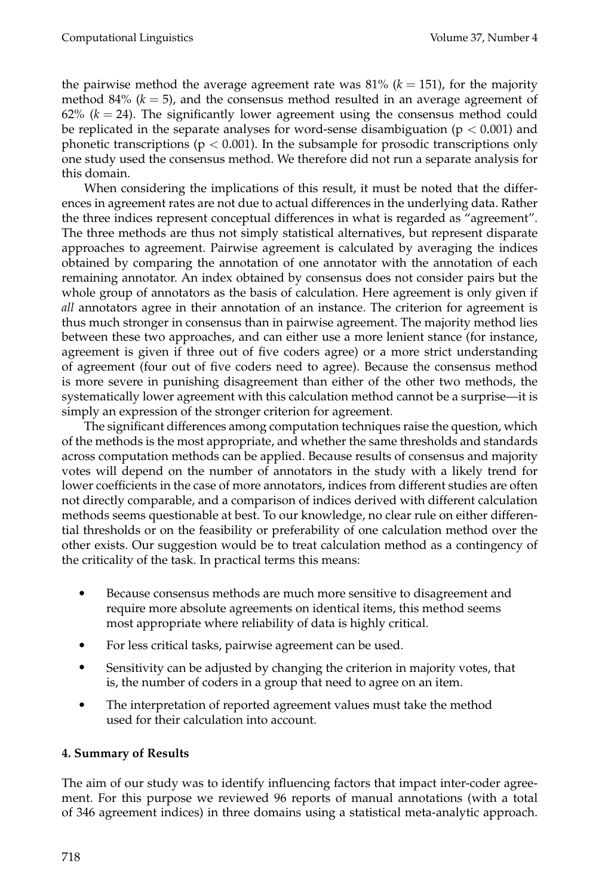the pairwise method the average agreement rate was  $81\%$  ( $k = 151$ ), for the majority method 84%  $(k = 5)$ , and the consensus method resulted in an average agreement of  $62\%$  ( $k = 24$ ). The significantly lower agreement using the consensus method could be replicated in the separate analyses for word-sense disambiguation ( $p < 0.001$ ) and phonetic transcriptions ( $p < 0.001$ ). In the subsample for prosodic transcriptions only one study used the consensus method. We therefore did not run a separate analysis for this domain.

When considering the implications of this result, it must be noted that the differences in agreement rates are not due to actual differences in the underlying data. Rather the three indices represent conceptual differences in what is regarded as "agreement". The three methods are thus not simply statistical alternatives, but represent disparate approaches to agreement. Pairwise agreement is calculated by averaging the indices obtained by comparing the annotation of one annotator with the annotation of each remaining annotator. An index obtained by consensus does not consider pairs but the whole group of annotators as the basis of calculation. Here agreement is only given if *all* annotators agree in their annotation of an instance. The criterion for agreement is thus much stronger in consensus than in pairwise agreement. The majority method lies between these two approaches, and can either use a more lenient stance (for instance, agreement is given if three out of five coders agree) or a more strict understanding of agreement (four out of five coders need to agree). Because the consensus method is more severe in punishing disagreement than either of the other two methods, the systematically lower agreement with this calculation method cannot be a surprise—it is simply an expression of the stronger criterion for agreement.

The significant differences among computation techniques raise the question, which of the methods is the most appropriate, and whether the same thresholds and standards across computation methods can be applied. Because results of consensus and majority votes will depend on the number of annotators in the study with a likely trend for lower coefficients in the case of more annotators, indices from different studies are often not directly comparable, and a comparison of indices derived with different calculation methods seems questionable at best. To our knowledge, no clear rule on either differential thresholds or on the feasibility or preferability of one calculation method over the other exists. Our suggestion would be to treat calculation method as a contingency of the criticality of the task. In practical terms this means:

- $\bullet$  Because consensus methods are much more sensitive to disagreement and require more absolute agreements on identical items, this method seems most appropriate where reliability of data is highly critical.
- $\bullet$ For less critical tasks, pairwise agreement can be used.
- $\bullet$  Sensitivity can be adjusted by changing the criterion in majority votes, that is, the number of coders in a group that need to agree on an item.
- - The interpretation of reported agreement values must take the method used for their calculation into account.

# **4. Summary of Results**

The aim of our study was to identify influencing factors that impact inter-coder agreement. For this purpose we reviewed 96 reports of manual annotations (with a total of 346 agreement indices) in three domains using a statistical meta-analytic approach.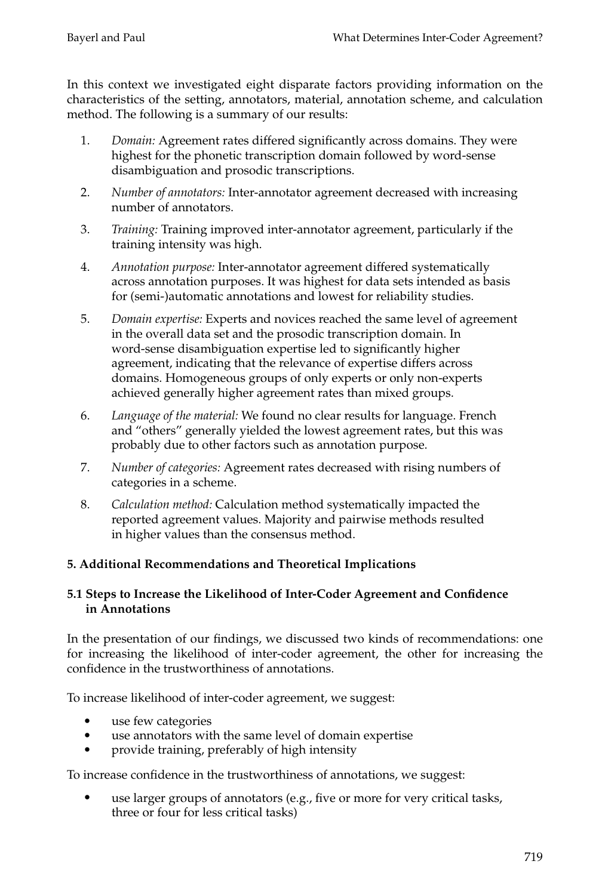In this context we investigated eight disparate factors providing information on the characteristics of the setting, annotators, material, annotation scheme, and calculation method. The following is a summary of our results:

- 1. *Domain:* Agreement rates differed significantly across domains. They were highest for the phonetic transcription domain followed by word-sense disambiguation and prosodic transcriptions.
- 2. *Number of annotators:* Inter-annotator agreement decreased with increasing number of annotators.
- 3. *Training:* Training improved inter-annotator agreement, particularly if the training intensity was high.
- 4. *Annotation purpose:* Inter-annotator agreement differed systematically across annotation purposes. It was highest for data sets intended as basis for (semi-)automatic annotations and lowest for reliability studies.
- 5. *Domain expertise:* Experts and novices reached the same level of agreement in the overall data set and the prosodic transcription domain. In word-sense disambiguation expertise led to significantly higher agreement, indicating that the relevance of expertise differs across domains. Homogeneous groups of only experts or only non-experts achieved generally higher agreement rates than mixed groups.
- 6. *Language of the material:* We found no clear results for language. French and "others" generally yielded the lowest agreement rates, but this was probably due to other factors such as annotation purpose.
- 7. *Number of categories:* Agreement rates decreased with rising numbers of categories in a scheme.
- 8. *Calculation method:* Calculation method systematically impacted the reported agreement values. Majority and pairwise methods resulted in higher values than the consensus method.

# **5. Additional Recommendations and Theoretical Implications**

#### **5.1 Steps to Increase the Likelihood of Inter-Coder Agreement and Confidence in Annotations**

In the presentation of our findings, we discussed two kinds of recommendations: one for increasing the likelihood of inter-coder agreement, the other for increasing the confidence in the trustworthiness of annotations.

To increase likelihood of inter-coder agreement, we suggest:

- $\bullet$
- use few categories<br>• use annotators with the same level of domain expertise use annotators with the same level of domain expertise<br>• provide training, preferably of high intensity
- 

To increase confidence in the trustworthiness of annotations, we suggest:

 use larger groups of annotators (e.g., five or more for very critical tasks, three or four for less critical tasks)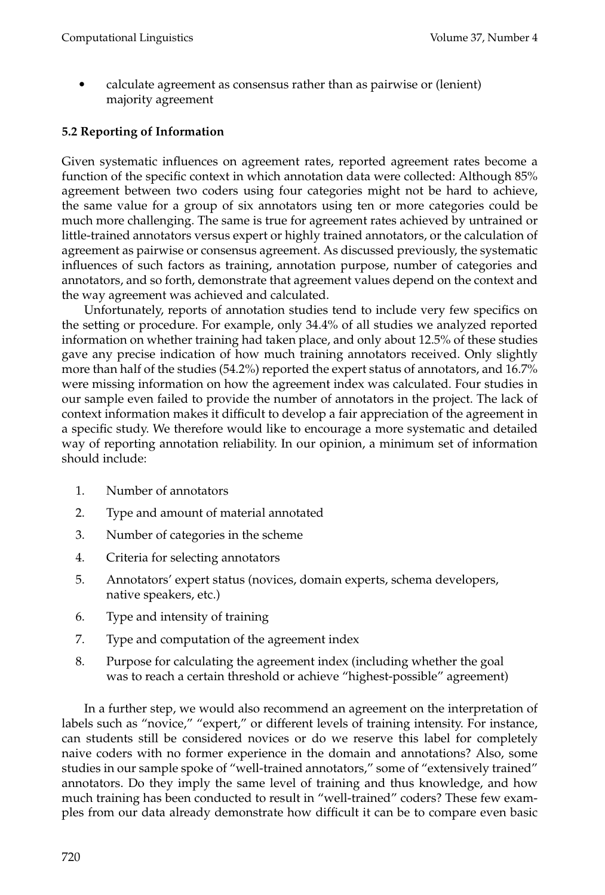calculate agreement as consensus rather than as pairwise or (lenient) majority agreement

# **5.2 Reporting of Information**

Given systematic influences on agreement rates, reported agreement rates become a function of the specific context in which annotation data were collected: Although 85% agreement between two coders using four categories might not be hard to achieve, the same value for a group of six annotators using ten or more categories could be much more challenging. The same is true for agreement rates achieved by untrained or little-trained annotators versus expert or highly trained annotators, or the calculation of agreement as pairwise or consensus agreement. As discussed previously, the systematic influences of such factors as training, annotation purpose, number of categories and annotators, and so forth, demonstrate that agreement values depend on the context and the way agreement was achieved and calculated.

Unfortunately, reports of annotation studies tend to include very few specifics on the setting or procedure. For example, only 34.4% of all studies we analyzed reported information on whether training had taken place, and only about 12.5% of these studies gave any precise indication of how much training annotators received. Only slightly more than half of the studies (54.2%) reported the expert status of annotators, and 16.7% were missing information on how the agreement index was calculated. Four studies in our sample even failed to provide the number of annotators in the project. The lack of context information makes it difficult to develop a fair appreciation of the agreement in a specific study. We therefore would like to encourage a more systematic and detailed way of reporting annotation reliability. In our opinion, a minimum set of information should include:

- 1. Number of annotators
- 2. Type and amount of material annotated
- 3. Number of categories in the scheme
- 4. Criteria for selecting annotators
- 5. Annotators' expert status (novices, domain experts, schema developers, native speakers, etc.)
- 6. Type and intensity of training
- 7. Type and computation of the agreement index
- 8. Purpose for calculating the agreement index (including whether the goal was to reach a certain threshold or achieve "highest-possible" agreement)

In a further step, we would also recommend an agreement on the interpretation of labels such as "novice," "expert," or different levels of training intensity. For instance, can students still be considered novices or do we reserve this label for completely naive coders with no former experience in the domain and annotations? Also, some studies in our sample spoke of "well-trained annotators," some of "extensively trained" annotators. Do they imply the same level of training and thus knowledge, and how much training has been conducted to result in "well-trained" coders? These few examples from our data already demonstrate how difficult it can be to compare even basic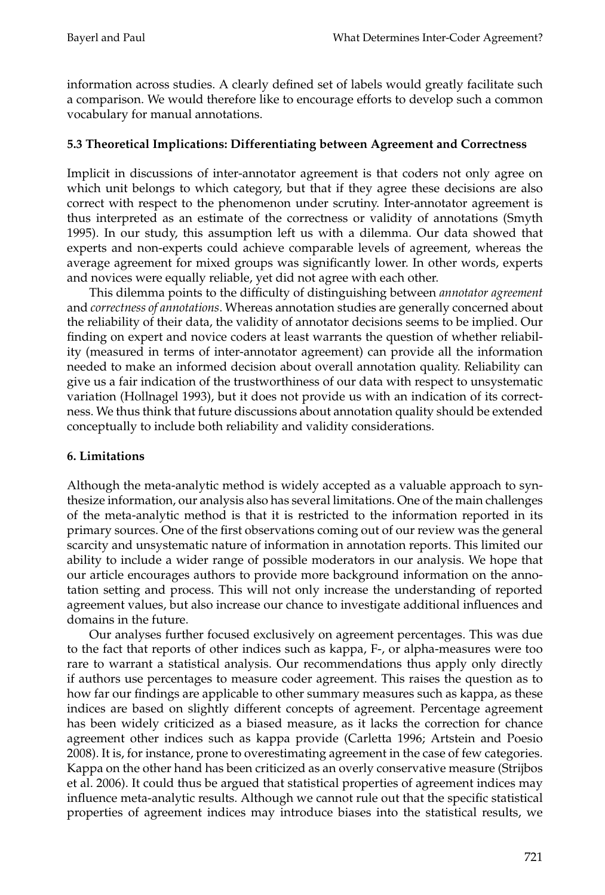information across studies. A clearly defined set of labels would greatly facilitate such a comparison. We would therefore like to encourage efforts to develop such a common vocabulary for manual annotations.

#### **5.3 Theoretical Implications: Differentiating between Agreement and Correctness**

Implicit in discussions of inter-annotator agreement is that coders not only agree on which unit belongs to which category, but that if they agree these decisions are also correct with respect to the phenomenon under scrutiny. Inter-annotator agreement is thus interpreted as an estimate of the correctness or validity of annotations (Smyth 1995). In our study, this assumption left us with a dilemma. Our data showed that experts and non-experts could achieve comparable levels of agreement, whereas the average agreement for mixed groups was significantly lower. In other words, experts and novices were equally reliable, yet did not agree with each other.

This dilemma points to the difficulty of distinguishing between *annotator agreement* and *correctness of annotations*. Whereas annotation studies are generally concerned about the reliability of their data, the validity of annotator decisions seems to be implied. Our finding on expert and novice coders at least warrants the question of whether reliability (measured in terms of inter-annotator agreement) can provide all the information needed to make an informed decision about overall annotation quality. Reliability can give us a fair indication of the trustworthiness of our data with respect to unsystematic variation (Hollnagel 1993), but it does not provide us with an indication of its correctness. We thus think that future discussions about annotation quality should be extended conceptually to include both reliability and validity considerations.

#### **6. Limitations**

Although the meta-analytic method is widely accepted as a valuable approach to synthesize information, our analysis also has several limitations. One of the main challenges of the meta-analytic method is that it is restricted to the information reported in its primary sources. One of the first observations coming out of our review was the general scarcity and unsystematic nature of information in annotation reports. This limited our ability to include a wider range of possible moderators in our analysis. We hope that our article encourages authors to provide more background information on the annotation setting and process. This will not only increase the understanding of reported agreement values, but also increase our chance to investigate additional influences and domains in the future.

Our analyses further focused exclusively on agreement percentages. This was due to the fact that reports of other indices such as kappa, F-, or alpha-measures were too rare to warrant a statistical analysis. Our recommendations thus apply only directly if authors use percentages to measure coder agreement. This raises the question as to how far our findings are applicable to other summary measures such as kappa, as these indices are based on slightly different concepts of agreement. Percentage agreement has been widely criticized as a biased measure, as it lacks the correction for chance agreement other indices such as kappa provide (Carletta 1996; Artstein and Poesio 2008). It is, for instance, prone to overestimating agreement in the case of few categories. Kappa on the other hand has been criticized as an overly conservative measure (Strijbos et al. 2006). It could thus be argued that statistical properties of agreement indices may influence meta-analytic results. Although we cannot rule out that the specific statistical properties of agreement indices may introduce biases into the statistical results, we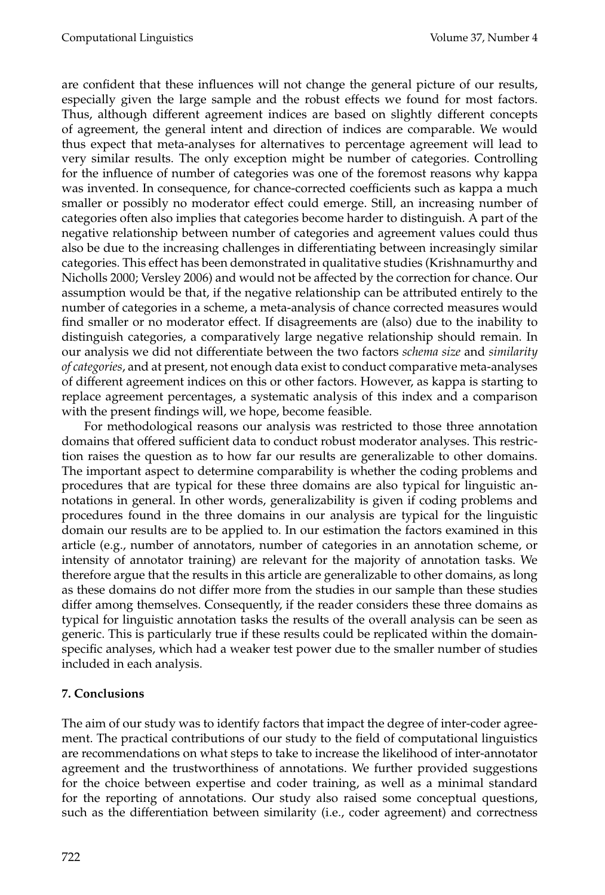are confident that these influences will not change the general picture of our results, especially given the large sample and the robust effects we found for most factors. Thus, although different agreement indices are based on slightly different concepts of agreement, the general intent and direction of indices are comparable. We would thus expect that meta-analyses for alternatives to percentage agreement will lead to very similar results. The only exception might be number of categories. Controlling for the influence of number of categories was one of the foremost reasons why kappa was invented. In consequence, for chance-corrected coefficients such as kappa a much smaller or possibly no moderator effect could emerge. Still, an increasing number of categories often also implies that categories become harder to distinguish. A part of the negative relationship between number of categories and agreement values could thus also be due to the increasing challenges in differentiating between increasingly similar categories. This effect has been demonstrated in qualitative studies (Krishnamurthy and Nicholls 2000; Versley 2006) and would not be affected by the correction for chance. Our assumption would be that, if the negative relationship can be attributed entirely to the number of categories in a scheme, a meta-analysis of chance corrected measures would find smaller or no moderator effect. If disagreements are (also) due to the inability to distinguish categories, a comparatively large negative relationship should remain. In our analysis we did not differentiate between the two factors *schema size* and *similarity of categories*, and at present, not enough data exist to conduct comparative meta-analyses of different agreement indices on this or other factors. However, as kappa is starting to replace agreement percentages, a systematic analysis of this index and a comparison with the present findings will, we hope, become feasible.

For methodological reasons our analysis was restricted to those three annotation domains that offered sufficient data to conduct robust moderator analyses. This restriction raises the question as to how far our results are generalizable to other domains. The important aspect to determine comparability is whether the coding problems and procedures that are typical for these three domains are also typical for linguistic annotations in general. In other words, generalizability is given if coding problems and procedures found in the three domains in our analysis are typical for the linguistic domain our results are to be applied to. In our estimation the factors examined in this article (e.g., number of annotators, number of categories in an annotation scheme, or intensity of annotator training) are relevant for the majority of annotation tasks. We therefore argue that the results in this article are generalizable to other domains, as long as these domains do not differ more from the studies in our sample than these studies differ among themselves. Consequently, if the reader considers these three domains as typical for linguistic annotation tasks the results of the overall analysis can be seen as generic. This is particularly true if these results could be replicated within the domainspecific analyses, which had a weaker test power due to the smaller number of studies included in each analysis.

#### **7. Conclusions**

The aim of our study was to identify factors that impact the degree of inter-coder agreement. The practical contributions of our study to the field of computational linguistics are recommendations on what steps to take to increase the likelihood of inter-annotator agreement and the trustworthiness of annotations. We further provided suggestions for the choice between expertise and coder training, as well as a minimal standard for the reporting of annotations. Our study also raised some conceptual questions, such as the differentiation between similarity (i.e., coder agreement) and correctness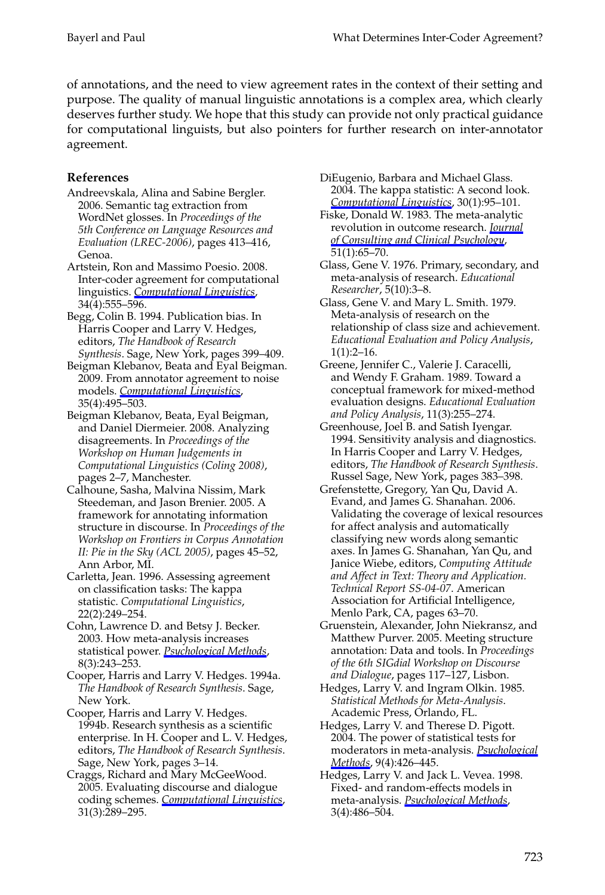of annotations, and the need to view agreement rates in the context of their setting and purpose. The quality of manual linguistic annotations is a complex area, which clearly deserves further study. We hope that this study can provide not only practical guidance for computational linguists, but also pointers for further research on inter-annotator agreement.

#### **References**

- Andreevskala, Alina and Sabine Bergler. 2006. Semantic tag extraction from WordNet glosses. In *Proceedings of the 5th Conference on Language Resources and Evaluation (LREC-2006)*, pages 413–416, Genoa.
- Artstein, Ron and Massimo Poesio. 2008. Inter-coder agreement for computational linguistics. *Computational Linguistics*, 34(4):555–596.
- Begg, Colin B. 1994. Publication bias. In Harris Cooper and Larry V. Hedges, editors, *The Handbook of Research Synthesis*. Sage, New York, pages 399–409.
- Beigman Klebanov, Beata and Eyal Beigman. 2009. From annotator agreement to noise models. *Computational Linguistics*, 35(4):495–503.
- Beigman Klebanov, Beata, Eyal Beigman, and Daniel Diermeier. 2008. Analyzing disagreements. In *Proceedings of the Workshop on Human Judgements in Computational Linguistics (Coling 2008)*, pages 2–7, Manchester.
- Calhoune, Sasha, Malvina Nissim, Mark Steedeman, and Jason Brenier. 2005. A framework for annotating information structure in discourse. In *Proceedings of the Workshop on Frontiers in Corpus Annotation II: Pie in the Sky (ACL 2005)*, pages 45–52, Ann Arbor, MI.
- Carletta, Jean. 1996. Assessing agreement on classification tasks: The kappa statistic. *Computational Linguistics*, 22(2):249–254.
- Cohn, Lawrence D. and Betsy J. Becker. 2003. How meta-analysis increases statistical power. *Psychological Methods*, 8(3):243–253.
- Cooper, Harris and Larry V. Hedges. 1994a. *The Handbook of Research Synthesis*. Sage, New York.
- Cooper, Harris and Larry V. Hedges. 1994b. Research synthesis as a scientific enterprise. In H. Cooper and L. V. Hedges, editors, *The Handbook of Research Synthesis*. Sage, New York, pages 3–14.
- Craggs, Richard and Mary McGeeWood. 2005. Evaluating discourse and dialogue coding schemes. *Computational Linguistics*, 31(3):289–295.

DiEugenio, Barbara and Michael Glass. 2004. The kappa statistic: A second look. *Computational Linguistics*, 30(1):95–101.

- Fiske, Donald W. 1983. The meta-analytic revolution in outcome research. *Journal of Consulting and Clinical Psychology*, 51(1):65–70.
- Glass, Gene V. 1976. Primary, secondary, and meta-analysis of research. *Educational Researcher*, 5(10):3–8.
- Glass, Gene V. and Mary L. Smith. 1979. Meta-analysis of research on the relationship of class size and achievement. *Educational Evaluation and Policy Analysis*, 1(1):2–16.
- Greene, Jennifer C., Valerie J. Caracelli, and Wendy F. Graham. 1989. Toward a conceptual framework for mixed-method evaluation designs. *Educational Evaluation and Policy Analysis*, 11(3):255–274.
- Greenhouse, Joel B. and Satish Iyengar. 1994. Sensitivity analysis and diagnostics. In Harris Cooper and Larry V. Hedges, editors, *The Handbook of Research Synthesis*. Russel Sage, New York, pages 383–398.
- Grefenstette, Gregory, Yan Qu, David A. Evand, and James G. Shanahan. 2006. Validating the coverage of lexical resources for affect analysis and automatically classifying new words along semantic axes. In James G. Shanahan, Yan Qu, and Janice Wiebe, editors, *Computing Attitude and Affect in Text: Theory and Application. Technical Report SS-04-07*. American Association for Artificial Intelligence, Menlo Park, CA, pages 63–70.
- Gruenstein, Alexander, John Niekransz, and Matthew Purver. 2005. Meeting structure annotation: Data and tools. In *Proceedings of the 6th SIGdial Workshop on Discourse and Dialogue*, pages 117–127, Lisbon.
- Hedges, Larry V. and Ingram Olkin. 1985. *Statistical Methods for Meta-Analysis*. Academic Press, Orlando, FL.
- Hedges, Larry V. and Therese D. Pigott. 2004. The power of statistical tests for moderators in meta-analysis. *Psychological Methods*, 9(4):426–445.
- Hedges, Larry V. and Jack L. Vevea. 1998. Fixed- and random-effects models in meta-analysis. *Psychological Methods*, 3(4):486–504.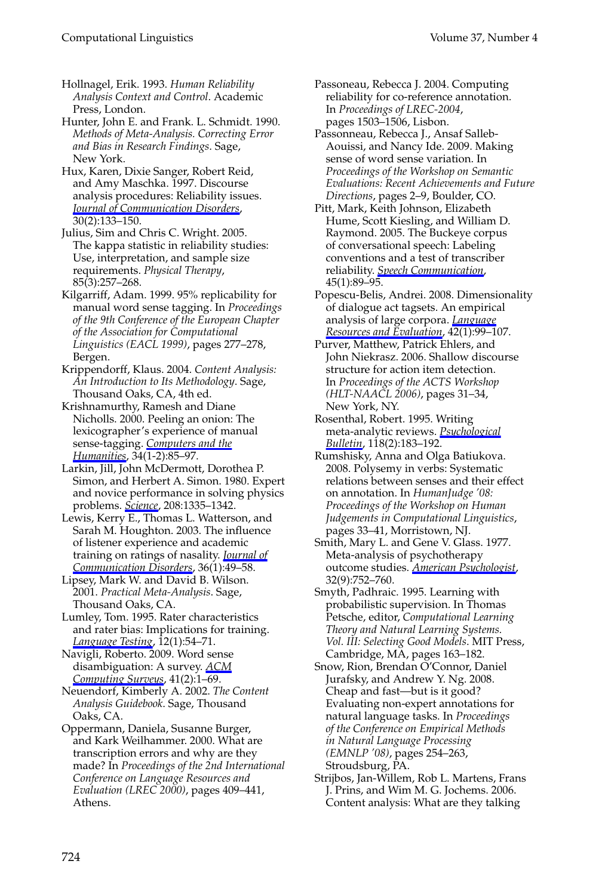#### Computational Linguistics Volume 37, Number 4

- Hollnagel, Erik. 1993. *Human Reliability Analysis Context and Control*. Academic Press, London.
- Hunter, John E. and Frank. L. Schmidt. 1990. *Methods of Meta-Analysis. Correcting Error and Bias in Research Findings*. Sage, New York.
- Hux, Karen, Dixie Sanger, Robert Reid, and Amy Maschka. 1997. Discourse analysis procedures: Reliability issues. *Journal of Communication Disorders*, 30(2):133–150.
- Julius, Sim and Chris C. Wright. 2005. The kappa statistic in reliability studies: Use, interpretation, and sample size requirements. *Physical Therapy*, 85(3):257–268.
- Kilgarriff, Adam. 1999. 95% replicability for manual word sense tagging. In *Proceedings of the 9th Conference of the European Chapter of the Association for Computational Linguistics (EACL 1999)*, pages 277–278, Bergen.
- Krippendorff, Klaus. 2004. *Content Analysis: An Introduction to Its Methodology*. Sage, Thousand Oaks, CA, 4th ed.
- Krishnamurthy, Ramesh and Diane Nicholls. 2000. Peeling an onion: The lexicographer's experience of manual sense-tagging. *Computers and the Humanities*, 34(1-2):85–97.
- Larkin, Jill, John McDermott, Dorothea P. Simon, and Herbert A. Simon. 1980. Expert and novice performance in solving physics problems. *Science*, 208:1335–1342.
- Lewis, Kerry E., Thomas L. Watterson, and Sarah M. Houghton. 2003. The influence of listener experience and academic training on ratings of nasality. *Journal of Communication Disorders*, 36(1):49–58.
- Lipsey, Mark W. and David B. Wilson. 2001. *Practical Meta-Analysis*. Sage, Thousand Oaks, CA.
- Lumley, Tom. 1995. Rater characteristics and rater bias: Implications for training. *Language Testing*, 12(1):54–71.
- Navigli, Roberto. 2009. Word sense disambiguation: A survey. *ACM Computing Surveys*, 41(2):1–69.
- Neuendorf, Kimberly A. 2002. *The Content Analysis Guidebook*. Sage, Thousand Oaks, CA.
- Oppermann, Daniela, Susanne Burger, and Kark Weilhammer. 2000. What are transcription errors and why are they made? In *Proceedings of the 2nd International Conference on Language Resources and Evaluation (LREC 2000)*, pages 409–441, Athens.
- Passoneau, Rebecca J. 2004. Computing reliability for co-reference annotation. In *Proceedings of LREC-2004*, pages 1503–1506, Lisbon.
- Passonneau, Rebecca J., Ansaf Salleb-Aouissi, and Nancy Ide. 2009. Making sense of word sense variation. In *Proceedings of the Workshop on Semantic Evaluations: Recent Achievements and Future Directions*, pages 2–9, Boulder, CO.
- Pitt, Mark, Keith Johnson, Elizabeth Hume, Scott Kiesling, and William D. Raymond. 2005. The Buckeye corpus of conversational speech: Labeling conventions and a test of transcriber reliability. *Speech Communication*, 45(1):89–95.
- Popescu-Belis, Andrei. 2008. Dimensionality of dialogue act tagsets. An empirical analysis of large corpora. *Language Resources and Evaluation*, 42(1):99–107.
- Purver, Matthew, Patrick Ehlers, and John Niekrasz. 2006. Shallow discourse structure for action item detection. In *Proceedings of the ACTS Workshop (HLT-NAACL 2006)*, pages 31–34, New York, NY.
- Rosenthal, Robert. 1995. Writing meta-analytic reviews. *Psychological Bulletin*, 118(2):183–192.
- Rumshisky, Anna and Olga Batiukova. 2008. Polysemy in verbs: Systematic relations between senses and their effect on annotation. In *HumanJudge '08: Proceedings of the Workshop on Human Judgements in Computational Linguistics*, pages 33–41, Morristown, NJ.
- Smith, Mary L. and Gene V. Glass. 1977. Meta-analysis of psychotherapy outcome studies. *American Psychologist*, 32(9):752–760.
- Smyth, Padhraic. 1995. Learning with probabilistic supervision. In Thomas Petsche, editor, *Computational Learning Theory and Natural Learning Systems. Vol. III: Selecting Good Models*. MIT Press, Cambridge, MA, pages 163–182.
- Snow, Rion, Brendan O'Connor, Daniel Jurafsky, and Andrew Y. Ng. 2008. Cheap and fast—but is it good? Evaluating non-expert annotations for natural language tasks. In *Proceedings of the Conference on Empirical Methods in Natural Language Processing (EMNLP '08)*, pages 254–263, Stroudsburg, PA.
- Strijbos, Jan-Willem, Rob L. Martens, Frans J. Prins, and Wim M. G. Jochems. 2006. Content analysis: What are they talking